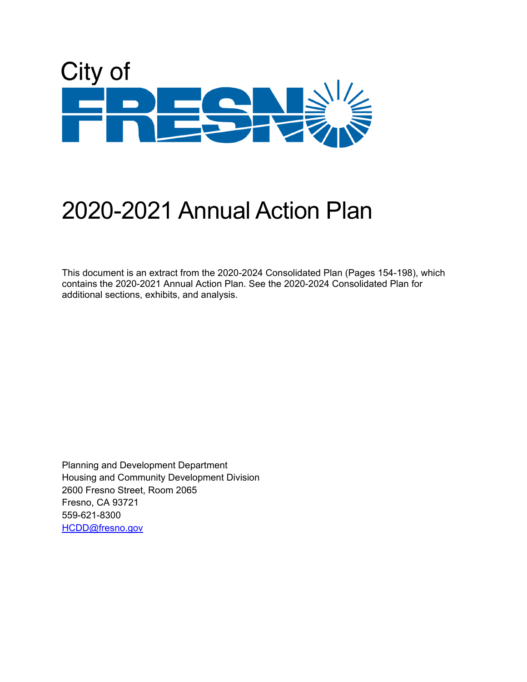

# 2020-2021 Annual Action Plan

This document is an extract from the 2020-2024 Consolidated Plan (Pages 154-198), which contains the 2020-2021 Annual Action Plan. See the 2020-2024 Consolidated Plan for additional sections, exhibits, and analysis.

Planning and Development Department Housing and Community Development Division 2600 Fresno Street, Room 2065 Fresno, CA 93721 559-621-8300 [HCDD@fresno.gov](mailto:HCDD@fresno.gov)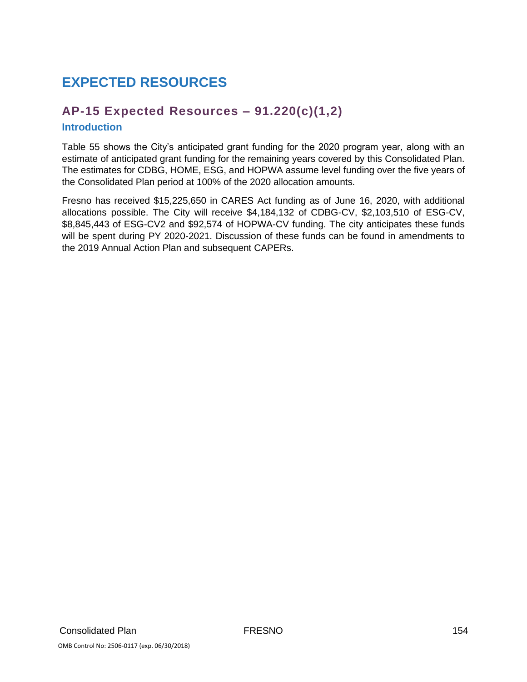# **EXPECTED RESOURCES**

# **AP-15 Expected Resources – 91.220(c)(1,2)**

#### **Introduction**

Table 55 shows the City's anticipated grant funding for the 2020 program year, along with an estimate of anticipated grant funding for the remaining years covered by this Consolidated Plan. The estimates for CDBG, HOME, ESG, and HOPWA assume level funding over the five years of the Consolidated Plan period at 100% of the 2020 allocation amounts.

Fresno has received \$15,225,650 in CARES Act funding as of June 16, 2020, with additional allocations possible. The City will receive \$4,184,132 of CDBG-CV, \$2,103,510 of ESG-CV, \$8,845,443 of ESG-CV2 and \$92,574 of HOPWA-CV funding. The city anticipates these funds will be spent during PY 2020-2021. Discussion of these funds can be found in amendments to the 2019 Annual Action Plan and subsequent CAPERs.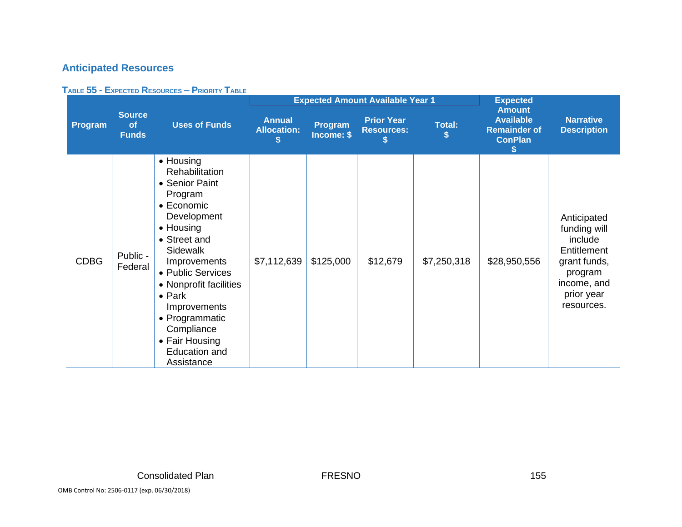# **Anticipated Resources**

#### **TABLE 55 - EXPECTED RESOURCES – PRIORITY TABLE**

|             |                                     |                                                                                                                                                                                                                                                                                                                                |                                          | <b>Expected Amount Available Year 1</b> | <b>Expected</b>                        |               |                                                                                  |                                                                                                                             |
|-------------|-------------------------------------|--------------------------------------------------------------------------------------------------------------------------------------------------------------------------------------------------------------------------------------------------------------------------------------------------------------------------------|------------------------------------------|-----------------------------------------|----------------------------------------|---------------|----------------------------------------------------------------------------------|-----------------------------------------------------------------------------------------------------------------------------|
| Program     | <b>Source</b><br>of<br><b>Funds</b> | <b>Uses of Funds</b>                                                                                                                                                                                                                                                                                                           | <b>Annual</b><br><b>Allocation:</b><br>S | Program<br>Income: \$                   | <b>Prior Year</b><br><b>Resources:</b> | <b>Total:</b> | <b>Amount</b><br><b>Available</b><br><b>Remainder of</b><br><b>ConPlan</b><br>\$ | <b>Narrative</b><br><b>Description</b>                                                                                      |
| <b>CDBG</b> | Public -<br>Federal                 | • Housing<br>Rehabilitation<br>• Senior Paint<br>Program<br>• Economic<br>Development<br>• Housing<br>• Street and<br><b>Sidewalk</b><br>Improvements<br>• Public Services<br>• Nonprofit facilities<br>$\bullet$ Park<br>Improvements<br>• Programmatic<br>Compliance<br>• Fair Housing<br><b>Education and</b><br>Assistance | \$7,112,639                              | \$125,000                               | \$12,679                               | \$7,250,318   | \$28,950,556                                                                     | Anticipated<br>funding will<br>include<br>Entitlement<br>grant funds,<br>program<br>income, and<br>prior year<br>resources. |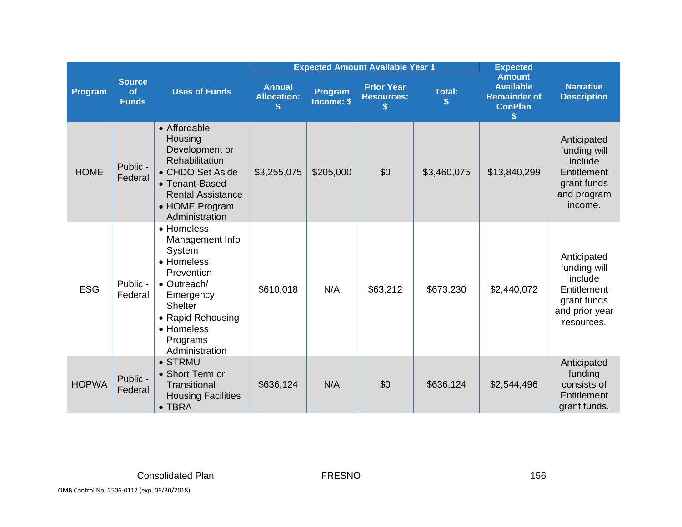|                                                |                     |                                                                                                                                                                             |                                     | <b>Expected Amount Available Year 1</b> | <b>Expected</b>                        |                    |                                                                                  |                                                                                                      |
|------------------------------------------------|---------------------|-----------------------------------------------------------------------------------------------------------------------------------------------------------------------------|-------------------------------------|-----------------------------------------|----------------------------------------|--------------------|----------------------------------------------------------------------------------|------------------------------------------------------------------------------------------------------|
| <b>Source</b><br>of<br>Program<br><b>Funds</b> |                     | <b>Uses of Funds</b>                                                                                                                                                        | <b>Annual</b><br><b>Allocation:</b> | Program<br>Income: \$                   | <b>Prior Year</b><br><b>Resources:</b> | <b>Total:</b><br>S | <b>Amount</b><br><b>Available</b><br><b>Remainder of</b><br><b>ConPlan</b><br>\$ | <b>Narrative</b><br><b>Description</b>                                                               |
| <b>HOME</b>                                    | Public -<br>Federal | • Affordable<br>Housing<br>Development or<br>Rehabilitation<br>• CHDO Set Aside<br>• Tenant-Based<br><b>Rental Assistance</b><br>• HOME Program<br>Administration           | \$3,255,075                         | \$205,000                               | \$0                                    | \$3,460,075        | \$13,840,299                                                                     | Anticipated<br>funding will<br>include<br>Entitlement<br>grant funds<br>and program<br>income.       |
| <b>ESG</b>                                     | Public -<br>Federal | • Homeless<br>Management Info<br>System<br>• Homeless<br>Prevention<br>• Outreach/<br>Emergency<br>Shelter<br>• Rapid Rehousing<br>• Homeless<br>Programs<br>Administration | \$610,018                           | N/A                                     | \$63,212                               | \$673,230          | \$2,440,072                                                                      | Anticipated<br>funding will<br>include<br>Entitlement<br>grant funds<br>and prior year<br>resources. |
| <b>HOPWA</b>                                   | Public -<br>Federal | • STRMU<br>• Short Term or<br><b>Transitional</b><br><b>Housing Facilities</b><br>$\bullet$ TBRA                                                                            | \$636,124                           | N/A                                     | \$0                                    | \$636,124          | \$2,544,496                                                                      | Anticipated<br>funding<br>consists of<br>Entitlement<br>grant funds.                                 |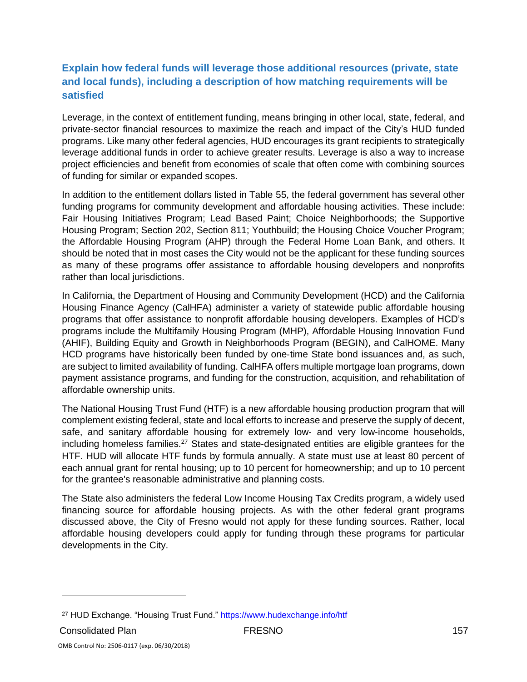# **Explain how federal funds will leverage those additional resources (private, state and local funds), including a description of how matching requirements will be satisfied**

Leverage, in the context of entitlement funding, means bringing in other local, state, federal, and private-sector financial resources to maximize the reach and impact of the City's HUD funded programs. Like many other federal agencies, HUD encourages its grant recipients to strategically leverage additional funds in order to achieve greater results. Leverage is also a way to increase project efficiencies and benefit from economies of scale that often come with combining sources of funding for similar or expanded scopes.

In addition to the entitlement dollars listed in Table 55, the federal government has several other funding programs for community development and affordable housing activities. These include: Fair Housing Initiatives Program; Lead Based Paint; Choice Neighborhoods; the Supportive Housing Program; Section 202, Section 811; Youthbuild; the Housing Choice Voucher Program; the Affordable Housing Program (AHP) through the Federal Home Loan Bank, and others. It should be noted that in most cases the City would not be the applicant for these funding sources as many of these programs offer assistance to affordable housing developers and nonprofits rather than local jurisdictions.

In California, the Department of Housing and Community Development (HCD) and the California Housing Finance Agency (CalHFA) administer a variety of statewide public affordable housing programs that offer assistance to nonprofit affordable housing developers. Examples of HCD's programs include the Multifamily Housing Program (MHP), Affordable Housing Innovation Fund (AHIF), Building Equity and Growth in Neighborhoods Program (BEGIN), and CalHOME. Many HCD programs have historically been funded by one-time State bond issuances and, as such, are subject to limited availability of funding. CalHFA offers multiple mortgage loan programs, down payment assistance programs, and funding for the construction, acquisition, and rehabilitation of affordable ownership units.

The National Housing Trust Fund (HTF) is a new affordable housing production program that will complement existing federal, state and local efforts to increase and preserve the supply of decent, safe, and sanitary affordable housing for extremely low- and very low-income households, including homeless families.<sup>27</sup> States and state‐designated entities are eligible grantees for the HTF. HUD will allocate HTF funds by formula annually. A state must use at least 80 percent of each annual grant for rental housing; up to 10 percent for homeownership; and up to 10 percent for the grantee's reasonable administrative and planning costs.

The State also administers the federal Low Income Housing Tax Credits program, a widely used financing source for affordable housing projects. As with the other federal grant programs discussed above, the City of Fresno would not apply for these funding sources. Rather, local affordable housing developers could apply for funding through these programs for particular developments in the City.

<sup>27</sup> HUD Exchange. "Housing Trust Fund." https://www.hudexchange.info/htf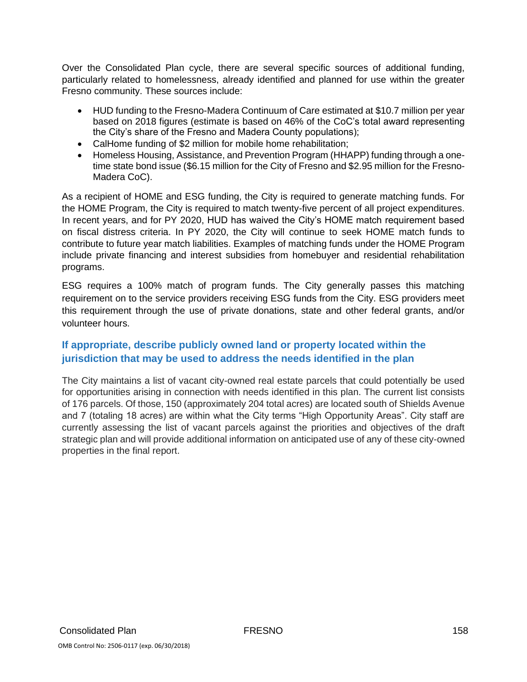Over the Consolidated Plan cycle, there are several specific sources of additional funding, particularly related to homelessness, already identified and planned for use within the greater Fresno community. These sources include:

- HUD funding to the Fresno-Madera Continuum of Care estimated at \$10.7 million per year based on 2018 figures (estimate is based on 46% of the CoC's total award representing the City's share of the Fresno and Madera County populations);
- CalHome funding of \$2 million for mobile home rehabilitation;
- Homeless Housing, Assistance, and Prevention Program (HHAPP) funding through a onetime state bond issue (\$6.15 million for the City of Fresno and \$2.95 million for the Fresno-Madera CoC).

As a recipient of HOME and ESG funding, the City is required to generate matching funds. For the HOME Program, the City is required to match twenty-five percent of all project expenditures. In recent years, and for PY 2020, HUD has waived the City's HOME match requirement based on fiscal distress criteria. In PY 2020, the City will continue to seek HOME match funds to contribute to future year match liabilities. Examples of matching funds under the HOME Program include private financing and interest subsidies from homebuyer and residential rehabilitation programs.

ESG requires a 100% match of program funds. The City generally passes this matching requirement on to the service providers receiving ESG funds from the City. ESG providers meet this requirement through the use of private donations, state and other federal grants, and/or volunteer hours.

### **If appropriate, describe publicly owned land or property located within the jurisdiction that may be used to address the needs identified in the plan**

The City maintains a list of vacant city-owned real estate parcels that could potentially be used for opportunities arising in connection with needs identified in this plan. The current list consists of 176 parcels. Of those, 150 (approximately 204 total acres) are located south of Shields Avenue and 7 (totaling 18 acres) are within what the City terms "High Opportunity Areas". City staff are currently assessing the list of vacant parcels against the priorities and objectives of the draft strategic plan and will provide additional information on anticipated use of any of these city-owned properties in the final report.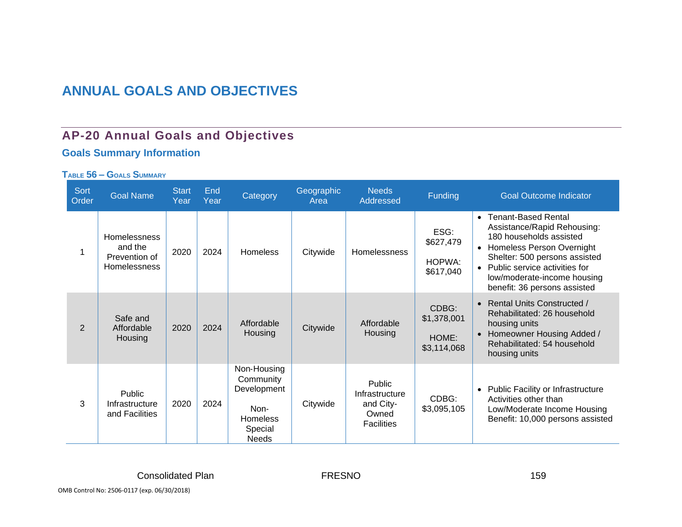# **ANNUAL GOALS AND OBJECTIVES**

# **AP-20 Annual Goals and Objectives**

# **Goals Summary Information**

#### **TABLE 56 – GOALS SUMMARY**

| <b>Sort</b><br>Order <sup>'</sup> | <b>Goal Name</b>                                                | <b>Start</b><br>Year | End<br>Year | Category                                                                                      | Geographic<br>Area | <b>Needs</b><br>Addressed                                           | <b>Funding</b>                               | <b>Goal Outcome Indicator</b>                                                                                                                                                                                                                                       |
|-----------------------------------|-----------------------------------------------------------------|----------------------|-------------|-----------------------------------------------------------------------------------------------|--------------------|---------------------------------------------------------------------|----------------------------------------------|---------------------------------------------------------------------------------------------------------------------------------------------------------------------------------------------------------------------------------------------------------------------|
|                                   | Homelessness<br>and the<br>Prevention of<br><b>Homelessness</b> | 2020                 | 2024        | <b>Homeless</b>                                                                               | Citywide           | <b>Homelessness</b>                                                 | ESG:<br>\$627,479<br>HOPWA:<br>\$617,040     | <b>Tenant-Based Rental</b><br>$\bullet$<br>Assistance/Rapid Rehousing:<br>180 households assisted<br>• Homeless Person Overnight<br>Shelter: 500 persons assisted<br>• Public service activities for<br>low/moderate-income housing<br>benefit: 36 persons assisted |
| $\overline{2}$                    | Safe and<br>Affordable<br>Housing                               | 2020                 | 2024        | Affordable<br>Housing                                                                         | Citywide           | Affordable<br>Housing                                               | CDBG:<br>\$1,378,001<br>HOME:<br>\$3,114,068 | • Rental Units Constructed /<br>Rehabilitated: 26 household<br>housing units<br>Homeowner Housing Added /<br>$\bullet$<br>Rehabilitated: 54 household<br>housing units                                                                                              |
| 3                                 | <b>Public</b><br>Infrastructure<br>and Facilities               | 2020                 | 2024        | Non-Housing<br>Community<br>Development<br>Non-<br><b>Homeless</b><br>Special<br><b>Needs</b> | Citywide           | Public<br>Infrastructure<br>and City-<br>Owned<br><b>Facilities</b> | CDBG:<br>\$3,095,105                         | Public Facility or Infrastructure<br>$\bullet$<br>Activities other than<br>Low/Moderate Income Housing<br>Benefit: 10,000 persons assisted                                                                                                                          |

OMB Control No: 2506-0117 (exp. 06/30/2018)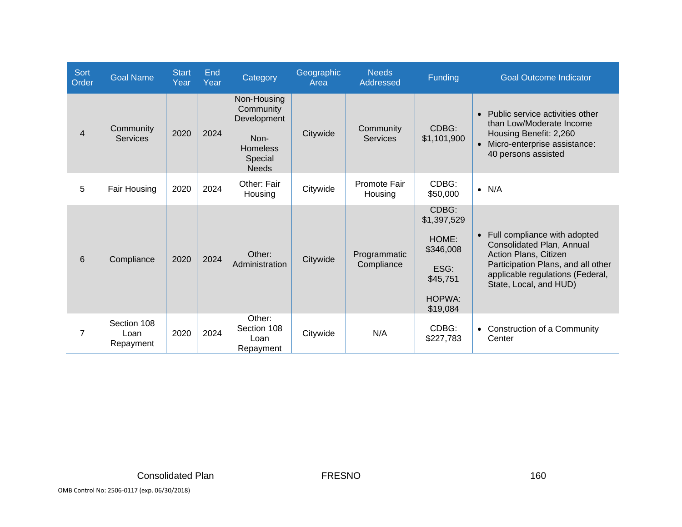| <b>Sort</b><br>Order | <b>Goal Name</b>                 | <b>Start</b><br>Year | End<br>Year | Category                                                                                      | Geographic<br>Area | <b>Needs</b><br>Addressed    | Funding                                                                                     | <b>Goal Outcome Indicator</b>                                                                                                                                                            |
|----------------------|----------------------------------|----------------------|-------------|-----------------------------------------------------------------------------------------------|--------------------|------------------------------|---------------------------------------------------------------------------------------------|------------------------------------------------------------------------------------------------------------------------------------------------------------------------------------------|
| $\overline{4}$       | Community<br><b>Services</b>     | 2020                 | 2024        | Non-Housing<br>Community<br>Development<br>Non-<br><b>Homeless</b><br>Special<br><b>Needs</b> | Citywide           | Community<br><b>Services</b> | CDBG:<br>\$1,101,900                                                                        | • Public service activities other<br>than Low/Moderate Income<br>Housing Benefit: 2,260<br>• Micro-enterprise assistance:<br>40 persons assisted                                         |
| 5                    | Fair Housing                     | 2020                 | 2024        | Other: Fair<br>Housing                                                                        | Citywide           | Promote Fair<br>Housing      | CDBG:<br>\$50,000                                                                           | $\bullet$ N/A                                                                                                                                                                            |
| 6                    | Compliance                       | 2020                 | 2024        | Other:<br>Administration                                                                      | Citywide           | Programmatic<br>Compliance   | CDBG:<br>\$1,397,529<br>HOME:<br>\$346,008<br>ESG:<br>\$45,751<br><b>HOPWA:</b><br>\$19,084 | • Full compliance with adopted<br>Consolidated Plan, Annual<br>Action Plans, Citizen<br>Participation Plans, and all other<br>applicable regulations (Federal,<br>State, Local, and HUD) |
| $\overline{7}$       | Section 108<br>Loan<br>Repayment | 2020                 | 2024        | Other:<br>Section 108<br>Loan<br>Repayment                                                    | Citywide           | N/A                          | CDBG:<br>\$227,783                                                                          | • Construction of a Community<br>Center                                                                                                                                                  |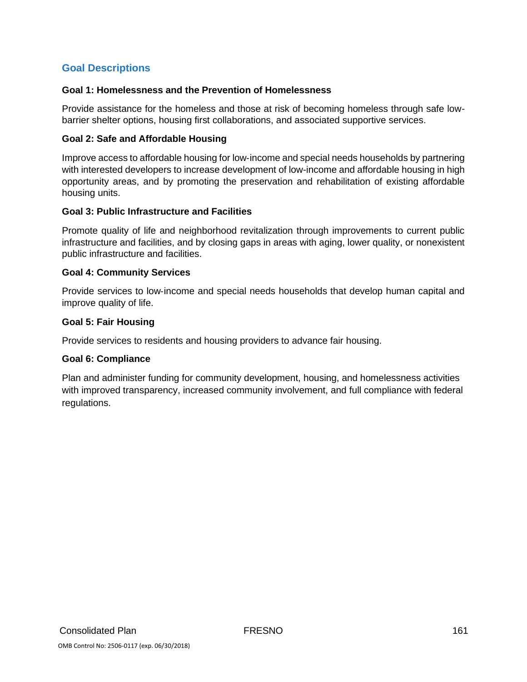### **Goal Descriptions**

#### **Goal 1: Homelessness and the Prevention of Homelessness**

Provide assistance for the homeless and those at risk of becoming homeless through safe lowbarrier shelter options, housing first collaborations, and associated supportive services.

#### **Goal 2: Safe and Affordable Housing**

Improve access to affordable housing for low‐income and special needs households by partnering with interested developers to increase development of low-income and affordable housing in high opportunity areas, and by promoting the preservation and rehabilitation of existing affordable housing units.

#### **Goal 3: Public Infrastructure and Facilities**

Promote quality of life and neighborhood revitalization through improvements to current public infrastructure and facilities, and by closing gaps in areas with aging, lower quality, or nonexistent public infrastructure and facilities.

#### **Goal 4: Community Services**

Provide services to low‐income and special needs households that develop human capital and improve quality of life.

#### **Goal 5: Fair Housing**

Provide services to residents and housing providers to advance fair housing.

#### **Goal 6: Compliance**

Plan and administer funding for community development, housing, and homelessness activities with improved transparency, increased community involvement, and full compliance with federal regulations.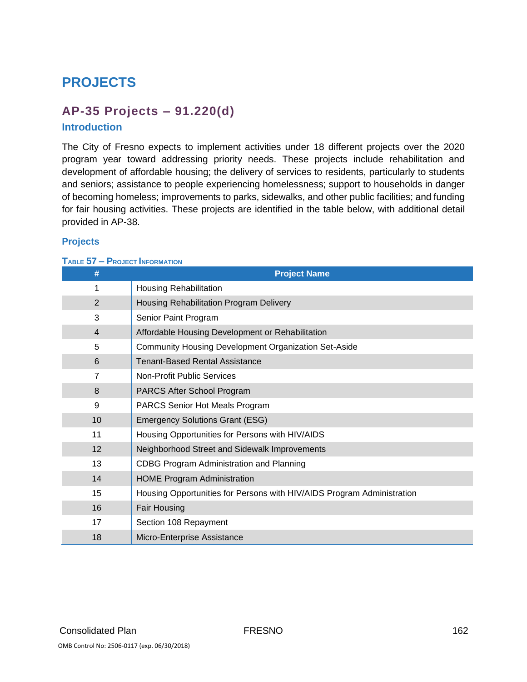# **PROJECTS**

# **AP-35 Projects – 91.220(d)**

#### **Introduction**

The City of Fresno expects to implement activities under 18 different projects over the 2020 program year toward addressing priority needs. These projects include rehabilitation and development of affordable housing; the delivery of services to residents, particularly to students and seniors; assistance to people experiencing homelessness; support to households in danger of becoming homeless; improvements to parks, sidewalks, and other public facilities; and funding for fair housing activities. These projects are identified in the table below, with additional detail provided in AP-38.

#### **Projects**

#### **TABLE 57 – PROJECT INFORMATION**

| #              | <b>Project Name</b>                                                    |
|----------------|------------------------------------------------------------------------|
| 1              | <b>Housing Rehabilitation</b>                                          |
| 2              | Housing Rehabilitation Program Delivery                                |
| 3              | Senior Paint Program                                                   |
| $\overline{4}$ | Affordable Housing Development or Rehabilitation                       |
| 5              | <b>Community Housing Development Organization Set-Aside</b>            |
| 6              | <b>Tenant-Based Rental Assistance</b>                                  |
| 7              | Non-Profit Public Services                                             |
| 8              | PARCS After School Program                                             |
| 9              | <b>PARCS Senior Hot Meals Program</b>                                  |
| 10             | <b>Emergency Solutions Grant (ESG)</b>                                 |
| 11             | Housing Opportunities for Persons with HIV/AIDS                        |
| 12             | Neighborhood Street and Sidewalk Improvements                          |
| 13             | CDBG Program Administration and Planning                               |
| 14             | <b>HOME Program Administration</b>                                     |
| 15             | Housing Opportunities for Persons with HIV/AIDS Program Administration |
| 16             | Fair Housing                                                           |
| 17             | Section 108 Repayment                                                  |
| 18             | Micro-Enterprise Assistance                                            |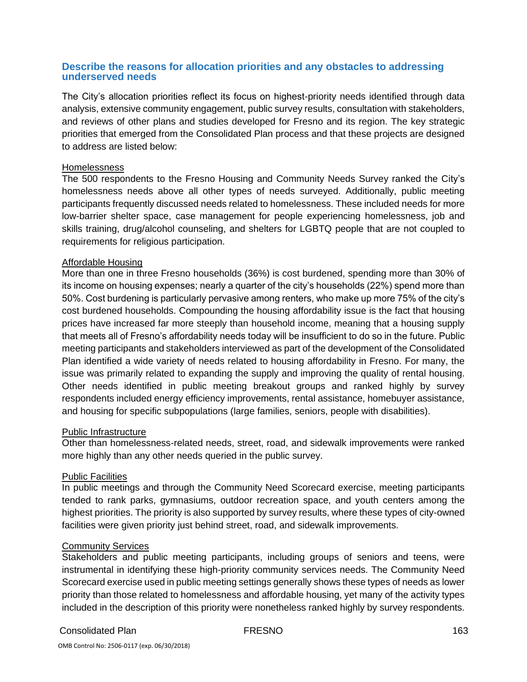#### **Describe the reasons for allocation priorities and any obstacles to addressing underserved needs**

The City's allocation priorities reflect its focus on highest-priority needs identified through data analysis, extensive community engagement, public survey results, consultation with stakeholders, and reviews of other plans and studies developed for Fresno and its region. The key strategic priorities that emerged from the Consolidated Plan process and that these projects are designed to address are listed below:

#### Homelessness

The 500 respondents to the Fresno Housing and Community Needs Survey ranked the City's homelessness needs above all other types of needs surveyed. Additionally, public meeting participants frequently discussed needs related to homelessness. These included needs for more low-barrier shelter space, case management for people experiencing homelessness, job and skills training, drug/alcohol counseling, and shelters for LGBTQ people that are not coupled to requirements for religious participation.

#### Affordable Housing

More than one in three Fresno households (36%) is cost burdened, spending more than 30% of its income on housing expenses; nearly a quarter of the city's households (22%) spend more than 50%. Cost burdening is particularly pervasive among renters, who make up more 75% of the city's cost burdened households. Compounding the housing affordability issue is the fact that housing prices have increased far more steeply than household income, meaning that a housing supply that meets all of Fresno's affordability needs today will be insufficient to do so in the future. Public meeting participants and stakeholders interviewed as part of the development of the Consolidated Plan identified a wide variety of needs related to housing affordability in Fresno. For many, the issue was primarily related to expanding the supply and improving the quality of rental housing. Other needs identified in public meeting breakout groups and ranked highly by survey respondents included energy efficiency improvements, rental assistance, homebuyer assistance, and housing for specific subpopulations (large families, seniors, people with disabilities).

#### Public Infrastructure

Other than homelessness-related needs, street, road, and sidewalk improvements were ranked more highly than any other needs queried in the public survey.

#### Public Facilities

In public meetings and through the Community Need Scorecard exercise, meeting participants tended to rank parks, gymnasiums, outdoor recreation space, and youth centers among the highest priorities. The priority is also supported by survey results, where these types of city-owned facilities were given priority just behind street, road, and sidewalk improvements.

#### Community Services

Stakeholders and public meeting participants, including groups of seniors and teens, were instrumental in identifying these high-priority community services needs. The Community Need Scorecard exercise used in public meeting settings generally shows these types of needs as lower priority than those related to homelessness and affordable housing, yet many of the activity types included in the description of this priority were nonetheless ranked highly by survey respondents.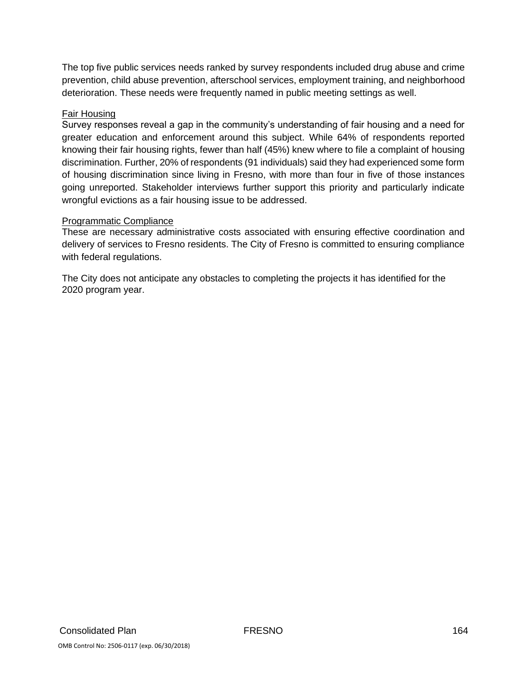The top five public services needs ranked by survey respondents included drug abuse and crime prevention, child abuse prevention, afterschool services, employment training, and neighborhood deterioration. These needs were frequently named in public meeting settings as well.

#### Fair Housing

Survey responses reveal a gap in the community's understanding of fair housing and a need for greater education and enforcement around this subject. While 64% of respondents reported knowing their fair housing rights, fewer than half (45%) knew where to file a complaint of housing discrimination. Further, 20% of respondents (91 individuals) said they had experienced some form of housing discrimination since living in Fresno, with more than four in five of those instances going unreported. Stakeholder interviews further support this priority and particularly indicate wrongful evictions as a fair housing issue to be addressed.

#### Programmatic Compliance

These are necessary administrative costs associated with ensuring effective coordination and delivery of services to Fresno residents. The City of Fresno is committed to ensuring compliance with federal regulations.

The City does not anticipate any obstacles to completing the projects it has identified for the 2020 program year.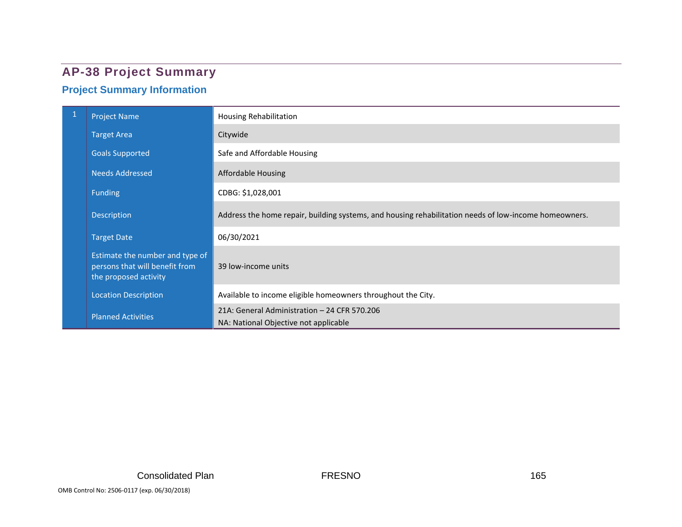# **AP-38 Project Summary**

# **Project Summary Information**

| $\mathbf{1}$ | <b>Project Name</b>                                                                        | Housing Rehabilitation                                                                                |
|--------------|--------------------------------------------------------------------------------------------|-------------------------------------------------------------------------------------------------------|
|              | <b>Target Area</b>                                                                         | Citywide                                                                                              |
|              | <b>Goals Supported</b>                                                                     | Safe and Affordable Housing                                                                           |
|              | <b>Needs Addressed</b>                                                                     | Affordable Housing                                                                                    |
|              | <b>Funding</b>                                                                             | CDBG: \$1,028,001                                                                                     |
|              | Description                                                                                | Address the home repair, building systems, and housing rehabilitation needs of low-income homeowners. |
|              | <b>Target Date</b>                                                                         | 06/30/2021                                                                                            |
|              | Estimate the number and type of<br>persons that will benefit from<br>the proposed activity | 39 low-income units                                                                                   |
|              | <b>Location Description</b>                                                                | Available to income eligible homeowners throughout the City.                                          |
|              | <b>Planned Activities</b>                                                                  | 21A: General Administration - 24 CFR 570.206<br>NA: National Objective not applicable                 |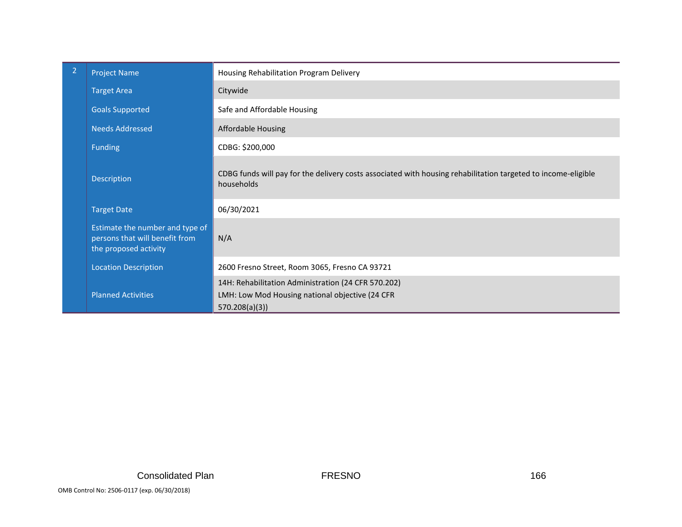| $\overline{2}$ | <b>Project Name</b>                                                                        | Housing Rehabilitation Program Delivery                                                                                     |
|----------------|--------------------------------------------------------------------------------------------|-----------------------------------------------------------------------------------------------------------------------------|
|                | <b>Target Area</b>                                                                         | Citywide                                                                                                                    |
|                | <b>Goals Supported</b>                                                                     | Safe and Affordable Housing                                                                                                 |
|                | <b>Needs Addressed</b>                                                                     | <b>Affordable Housing</b>                                                                                                   |
|                | <b>Funding</b>                                                                             | CDBG: \$200,000                                                                                                             |
|                | Description                                                                                | CDBG funds will pay for the delivery costs associated with housing rehabilitation targeted to income-eligible<br>households |
|                | <b>Target Date</b>                                                                         | 06/30/2021                                                                                                                  |
|                | Estimate the number and type of<br>persons that will benefit from<br>the proposed activity | N/A                                                                                                                         |
|                | <b>Location Description</b>                                                                | 2600 Fresno Street, Room 3065, Fresno CA 93721                                                                              |
|                | <b>Planned Activities</b>                                                                  | 14H: Rehabilitation Administration (24 CFR 570.202)<br>LMH: Low Mod Housing national objective (24 CFR<br>570.208(a)(3)     |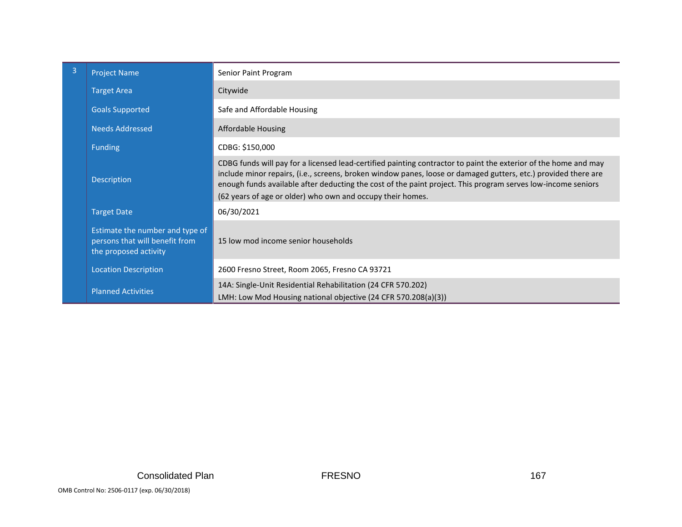| 3 | <b>Project Name</b>                                                                        | Senior Paint Program                                                                                                                                                                                                                                                                                                                                                                                            |
|---|--------------------------------------------------------------------------------------------|-----------------------------------------------------------------------------------------------------------------------------------------------------------------------------------------------------------------------------------------------------------------------------------------------------------------------------------------------------------------------------------------------------------------|
|   | <b>Target Area</b>                                                                         | Citywide                                                                                                                                                                                                                                                                                                                                                                                                        |
|   | <b>Goals Supported</b>                                                                     | Safe and Affordable Housing                                                                                                                                                                                                                                                                                                                                                                                     |
|   | <b>Needs Addressed</b>                                                                     | <b>Affordable Housing</b>                                                                                                                                                                                                                                                                                                                                                                                       |
|   | <b>Funding</b>                                                                             | CDBG: \$150,000                                                                                                                                                                                                                                                                                                                                                                                                 |
|   | Description                                                                                | CDBG funds will pay for a licensed lead-certified painting contractor to paint the exterior of the home and may<br>include minor repairs, (i.e., screens, broken window panes, loose or damaged gutters, etc.) provided there are<br>enough funds available after deducting the cost of the paint project. This program serves low-income seniors<br>(62 years of age or older) who own and occupy their homes. |
|   | <b>Target Date</b>                                                                         | 06/30/2021                                                                                                                                                                                                                                                                                                                                                                                                      |
|   | Estimate the number and type of<br>persons that will benefit from<br>the proposed activity | 15 low mod income senior households                                                                                                                                                                                                                                                                                                                                                                             |
|   | <b>Location Description</b>                                                                | 2600 Fresno Street, Room 2065, Fresno CA 93721                                                                                                                                                                                                                                                                                                                                                                  |
|   | <b>Planned Activities</b>                                                                  | 14A: Single-Unit Residential Rehabilitation (24 CFR 570.202)<br>LMH: Low Mod Housing national objective (24 CFR 570.208(a)(3))                                                                                                                                                                                                                                                                                  |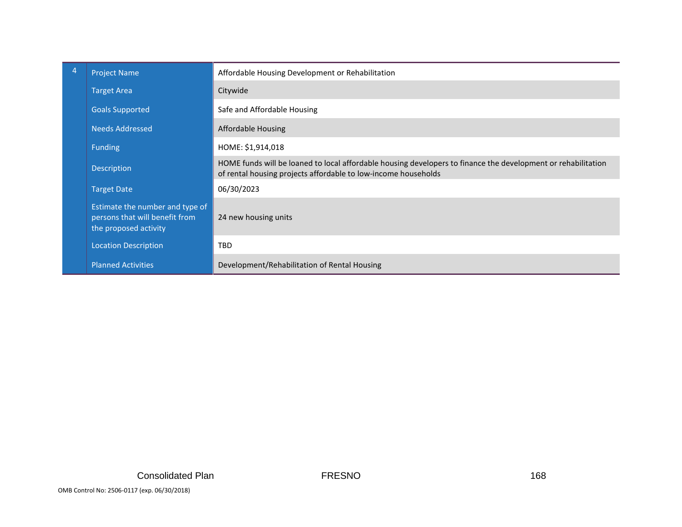| 4 | <b>Project Name</b>                                                                        | Affordable Housing Development or Rehabilitation                                                                                                                                |
|---|--------------------------------------------------------------------------------------------|---------------------------------------------------------------------------------------------------------------------------------------------------------------------------------|
|   | <b>Target Area</b>                                                                         | Citywide                                                                                                                                                                        |
|   | <b>Goals Supported</b>                                                                     | Safe and Affordable Housing                                                                                                                                                     |
|   | Needs Addressed                                                                            | Affordable Housing                                                                                                                                                              |
|   | <b>Funding</b>                                                                             | HOME: \$1,914,018                                                                                                                                                               |
|   | <b>Description</b>                                                                         | HOME funds will be loaned to local affordable housing developers to finance the development or rehabilitation<br>of rental housing projects affordable to low-income households |
|   | <b>Target Date</b>                                                                         | 06/30/2023                                                                                                                                                                      |
|   | Estimate the number and type of<br>persons that will benefit from<br>the proposed activity | 24 new housing units                                                                                                                                                            |
|   | <b>Location Description</b>                                                                | <b>TBD</b>                                                                                                                                                                      |
|   | <b>Planned Activities</b>                                                                  | Development/Rehabilitation of Rental Housing                                                                                                                                    |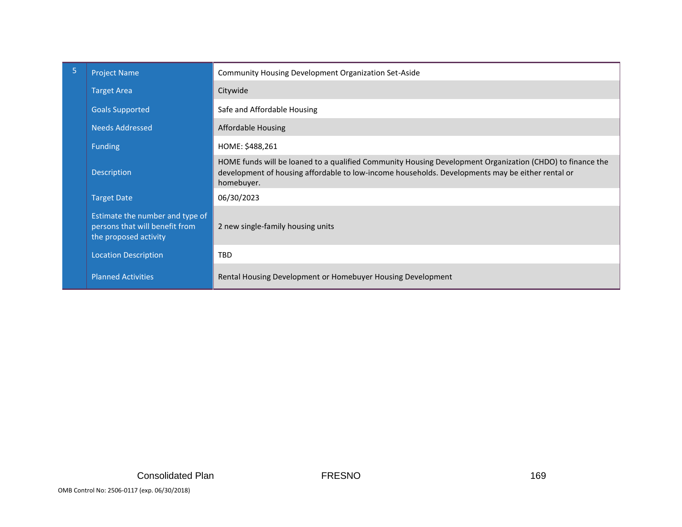| 5 | <b>Project Name</b>                                                                        | Community Housing Development Organization Set-Aside                                                                                                                                                                        |
|---|--------------------------------------------------------------------------------------------|-----------------------------------------------------------------------------------------------------------------------------------------------------------------------------------------------------------------------------|
|   | <b>Target Area</b>                                                                         | Citywide                                                                                                                                                                                                                    |
|   | <b>Goals Supported</b>                                                                     | Safe and Affordable Housing                                                                                                                                                                                                 |
|   | <b>Needs Addressed</b>                                                                     | Affordable Housing                                                                                                                                                                                                          |
|   | <b>Funding</b>                                                                             | HOME: \$488,261                                                                                                                                                                                                             |
|   | Description                                                                                | HOME funds will be loaned to a qualified Community Housing Development Organization (CHDO) to finance the<br>development of housing affordable to low-income households. Developments may be either rental or<br>homebuyer. |
|   | <b>Target Date</b>                                                                         | 06/30/2023                                                                                                                                                                                                                  |
|   | Estimate the number and type of<br>persons that will benefit from<br>the proposed activity | 2 new single-family housing units                                                                                                                                                                                           |
|   | <b>Location Description</b>                                                                | <b>TBD</b>                                                                                                                                                                                                                  |
|   | <b>Planned Activities</b>                                                                  | Rental Housing Development or Homebuyer Housing Development                                                                                                                                                                 |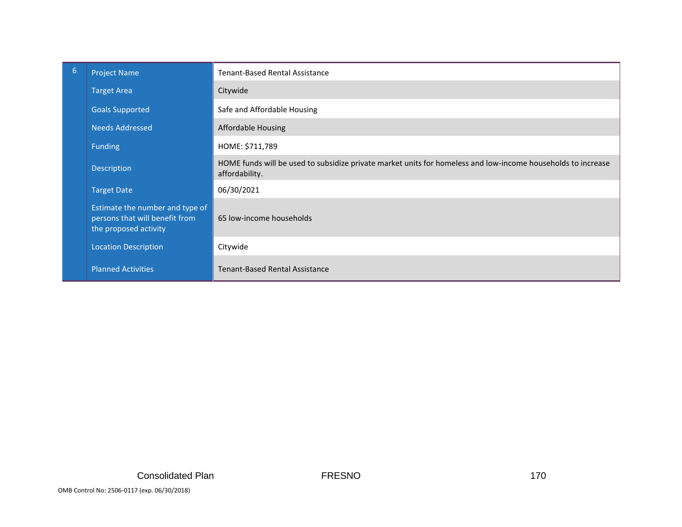| 6 | <b>Project Name</b>                                                                        | Tenant-Based Rental Assistance                                                                                                 |
|---|--------------------------------------------------------------------------------------------|--------------------------------------------------------------------------------------------------------------------------------|
|   | <b>Target Area</b>                                                                         | Citywide                                                                                                                       |
|   | <b>Goals Supported</b>                                                                     | Safe and Affordable Housing                                                                                                    |
|   | <b>Needs Addressed</b>                                                                     | <b>Affordable Housing</b>                                                                                                      |
|   | <b>Funding</b>                                                                             | HOME: \$711,789                                                                                                                |
|   | Description                                                                                | HOME funds will be used to subsidize private market units for homeless and low-income households to increase<br>affordability. |
|   | <b>Target Date</b>                                                                         | 06/30/2021                                                                                                                     |
|   | Estimate the number and type of<br>persons that will benefit from<br>the proposed activity | 65 low-income households                                                                                                       |
|   | <b>Location Description</b>                                                                | Citywide                                                                                                                       |
|   | <b>Planned Activities</b>                                                                  | <b>Tenant-Based Rental Assistance</b>                                                                                          |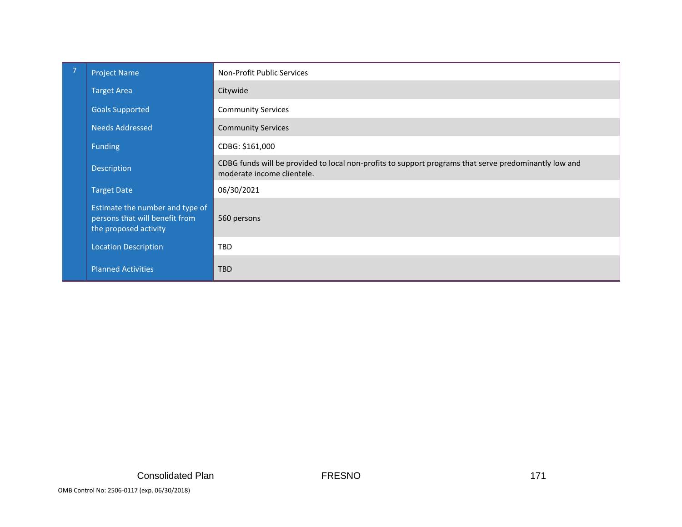| <b>Project Name</b>                                                                        | Non-Profit Public Services                                                                                                          |
|--------------------------------------------------------------------------------------------|-------------------------------------------------------------------------------------------------------------------------------------|
| <b>Target Area</b>                                                                         | Citywide                                                                                                                            |
| <b>Goals Supported</b>                                                                     | <b>Community Services</b>                                                                                                           |
| <b>Needs Addressed</b>                                                                     | <b>Community Services</b>                                                                                                           |
| <b>Funding</b>                                                                             | CDBG: \$161,000                                                                                                                     |
| Description                                                                                | CDBG funds will be provided to local non-profits to support programs that serve predominantly low and<br>moderate income clientele. |
| <b>Target Date</b>                                                                         | 06/30/2021                                                                                                                          |
| Estimate the number and type of<br>persons that will benefit from<br>the proposed activity | 560 persons                                                                                                                         |
| <b>Location Description</b>                                                                | <b>TBD</b>                                                                                                                          |
| <b>Planned Activities</b>                                                                  | <b>TBD</b>                                                                                                                          |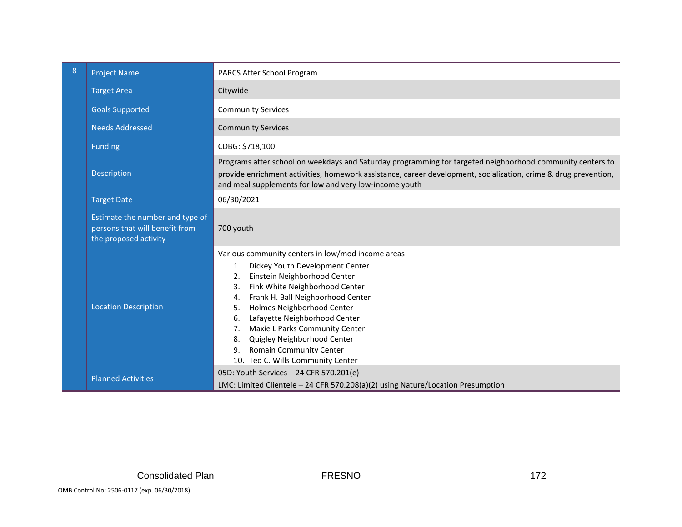| 8                                                                                                                                                       | <b>Project Name</b>                                                                        | PARCS After School Program                                                                                                                                                                                                                                                                                                                                                                                                                                           |  |
|---------------------------------------------------------------------------------------------------------------------------------------------------------|--------------------------------------------------------------------------------------------|----------------------------------------------------------------------------------------------------------------------------------------------------------------------------------------------------------------------------------------------------------------------------------------------------------------------------------------------------------------------------------------------------------------------------------------------------------------------|--|
|                                                                                                                                                         | <b>Target Area</b>                                                                         | Citywide                                                                                                                                                                                                                                                                                                                                                                                                                                                             |  |
|                                                                                                                                                         | <b>Goals Supported</b>                                                                     | <b>Community Services</b>                                                                                                                                                                                                                                                                                                                                                                                                                                            |  |
|                                                                                                                                                         | <b>Needs Addressed</b>                                                                     | <b>Community Services</b>                                                                                                                                                                                                                                                                                                                                                                                                                                            |  |
|                                                                                                                                                         | <b>Funding</b>                                                                             | CDBG: \$718,100                                                                                                                                                                                                                                                                                                                                                                                                                                                      |  |
|                                                                                                                                                         | Description                                                                                | Programs after school on weekdays and Saturday programming for targeted neighborhood community centers to<br>provide enrichment activities, homework assistance, career development, socialization, crime & drug prevention,<br>and meal supplements for low and very low-income youth                                                                                                                                                                               |  |
|                                                                                                                                                         | <b>Target Date</b>                                                                         | 06/30/2021                                                                                                                                                                                                                                                                                                                                                                                                                                                           |  |
|                                                                                                                                                         | Estimate the number and type of<br>persons that will benefit from<br>the proposed activity | 700 youth                                                                                                                                                                                                                                                                                                                                                                                                                                                            |  |
|                                                                                                                                                         | <b>Location Description</b>                                                                | Various community centers in low/mod income areas<br>Dickey Youth Development Center<br>1.<br>Einstein Neighborhood Center<br>2.<br>Fink White Neighborhood Center<br>3.<br>Frank H. Ball Neighborhood Center<br>4.<br>Holmes Neighborhood Center<br>5.<br>Lafayette Neighborhood Center<br>6.<br>Maxie L Parks Community Center<br>7 <sub>1</sub><br>Quigley Neighborhood Center<br>8.<br><b>Romain Community Center</b><br>9.<br>10. Ted C. Wills Community Center |  |
| 05D: Youth Services - 24 CFR 570.201(e)<br><b>Planned Activities</b><br>LMC: Limited Clientele - 24 CFR 570.208(a)(2) using Nature/Location Presumption |                                                                                            |                                                                                                                                                                                                                                                                                                                                                                                                                                                                      |  |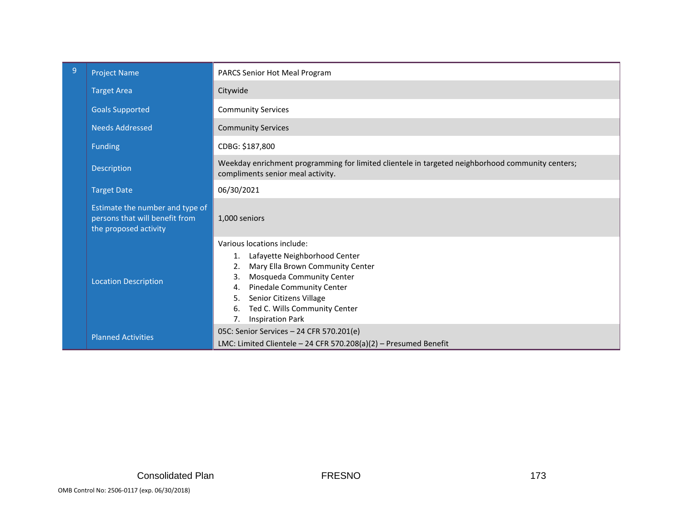| $\overline{9}$ | <b>Project Name</b>                                                                        | PARCS Senior Hot Meal Program                                                                                                                                                                                                                                                                    |  |
|----------------|--------------------------------------------------------------------------------------------|--------------------------------------------------------------------------------------------------------------------------------------------------------------------------------------------------------------------------------------------------------------------------------------------------|--|
|                | <b>Target Area</b>                                                                         | Citywide                                                                                                                                                                                                                                                                                         |  |
|                | <b>Goals Supported</b>                                                                     | <b>Community Services</b>                                                                                                                                                                                                                                                                        |  |
|                | <b>Needs Addressed</b>                                                                     | <b>Community Services</b>                                                                                                                                                                                                                                                                        |  |
|                | <b>Funding</b>                                                                             | CDBG: \$187,800                                                                                                                                                                                                                                                                                  |  |
|                | Description                                                                                | Weekday enrichment programming for limited clientele in targeted neighborhood community centers;<br>compliments senior meal activity.                                                                                                                                                            |  |
|                | <b>Target Date</b>                                                                         | 06/30/2021                                                                                                                                                                                                                                                                                       |  |
|                | Estimate the number and type of<br>persons that will benefit from<br>the proposed activity | 1,000 seniors                                                                                                                                                                                                                                                                                    |  |
|                | <b>Location Description</b>                                                                | Various locations include:<br>Lafayette Neighborhood Center<br>Mary Ella Brown Community Center<br>2.<br>Mosqueda Community Center<br>3.<br>Pinedale Community Center<br>4.<br>Senior Citizens Village<br>5.<br>Ted C. Wills Community Center<br>6.<br><b>Inspiration Park</b><br>7 <sub>1</sub> |  |
|                | <b>Planned Activities</b>                                                                  | 05C: Senior Services - 24 CFR 570.201(e)<br>LMC: Limited Clientele - 24 CFR 570.208(a)(2) - Presumed Benefit                                                                                                                                                                                     |  |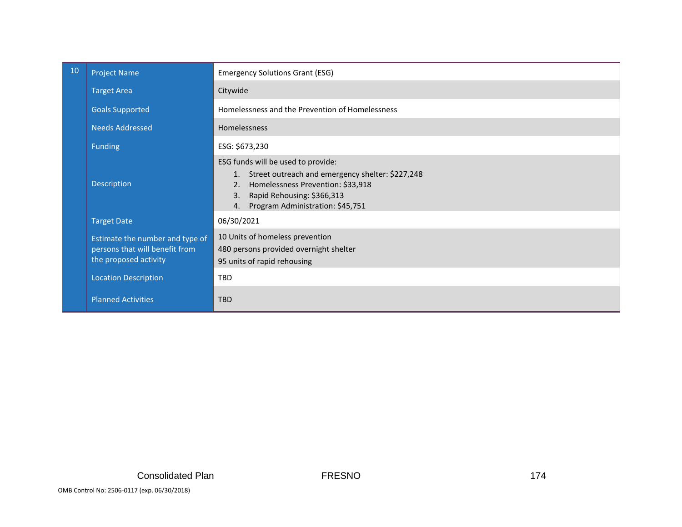| 10                                                                                                                                                                                                                             | <b>Project Name</b>         | <b>Emergency Solutions Grant (ESG)</b>          |  |
|--------------------------------------------------------------------------------------------------------------------------------------------------------------------------------------------------------------------------------|-----------------------------|-------------------------------------------------|--|
|                                                                                                                                                                                                                                | <b>Target Area</b>          | Citywide                                        |  |
|                                                                                                                                                                                                                                | <b>Goals Supported</b>      | Homelessness and the Prevention of Homelessness |  |
|                                                                                                                                                                                                                                | <b>Needs Addressed</b>      | <b>Homelessness</b>                             |  |
|                                                                                                                                                                                                                                | <b>Funding</b>              | ESG: \$673,230                                  |  |
| ESG funds will be used to provide:<br>1. Street outreach and emergency shelter: \$227,248<br>Description<br>Homelessness Prevention: \$33,918<br>2.<br>Rapid Rehousing: \$366,313<br>3.<br>4. Program Administration: \$45,751 |                             |                                                 |  |
|                                                                                                                                                                                                                                | <b>Target Date</b>          | 06/30/2021                                      |  |
| 10 Units of homeless prevention<br>Estimate the number and type of<br>persons that will benefit from<br>480 persons provided overnight shelter<br>the proposed activity<br>95 units of rapid rehousing                         |                             |                                                 |  |
|                                                                                                                                                                                                                                | <b>Location Description</b> | <b>TBD</b>                                      |  |
|                                                                                                                                                                                                                                | <b>Planned Activities</b>   | <b>TBD</b>                                      |  |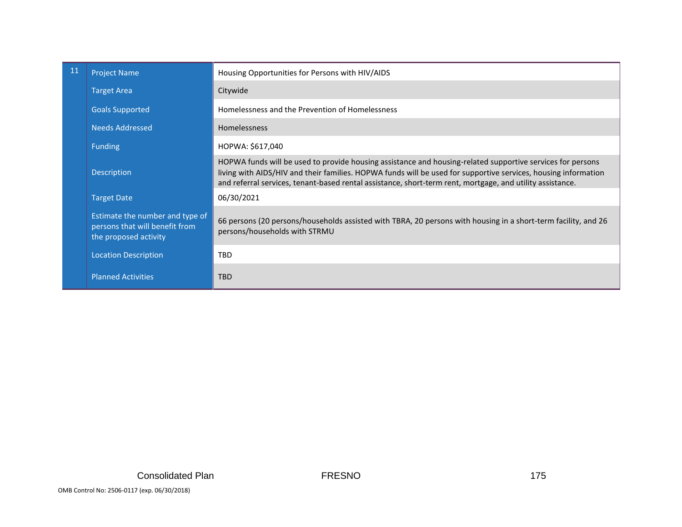| 11 | <b>Project Name</b>                                                                                                                                                                                                                           | Housing Opportunities for Persons with HIV/AIDS                                                                                                                                                                                                                                                                                           |  |
|----|-----------------------------------------------------------------------------------------------------------------------------------------------------------------------------------------------------------------------------------------------|-------------------------------------------------------------------------------------------------------------------------------------------------------------------------------------------------------------------------------------------------------------------------------------------------------------------------------------------|--|
|    | <b>Target Area</b>                                                                                                                                                                                                                            | Citywide                                                                                                                                                                                                                                                                                                                                  |  |
|    | <b>Goals Supported</b>                                                                                                                                                                                                                        | Homelessness and the Prevention of Homelessness                                                                                                                                                                                                                                                                                           |  |
|    | Needs Addressed                                                                                                                                                                                                                               | <b>Homelessness</b>                                                                                                                                                                                                                                                                                                                       |  |
|    | Funding                                                                                                                                                                                                                                       | HOPWA: \$617,040                                                                                                                                                                                                                                                                                                                          |  |
|    | Description                                                                                                                                                                                                                                   | HOPWA funds will be used to provide housing assistance and housing-related supportive services for persons<br>living with AIDS/HIV and their families. HOPWA funds will be used for supportive services, housing information<br>and referral services, tenant-based rental assistance, short-term rent, mortgage, and utility assistance. |  |
|    | <b>Target Date</b>                                                                                                                                                                                                                            | 06/30/2021                                                                                                                                                                                                                                                                                                                                |  |
|    | Estimate the number and type of<br>66 persons (20 persons/households assisted with TBRA, 20 persons with housing in a short-term facility, and 26<br>persons that will benefit from<br>persons/households with STRMU<br>the proposed activity |                                                                                                                                                                                                                                                                                                                                           |  |
|    | <b>Location Description</b>                                                                                                                                                                                                                   | <b>TBD</b>                                                                                                                                                                                                                                                                                                                                |  |
|    | <b>Planned Activities</b>                                                                                                                                                                                                                     | <b>TBD</b>                                                                                                                                                                                                                                                                                                                                |  |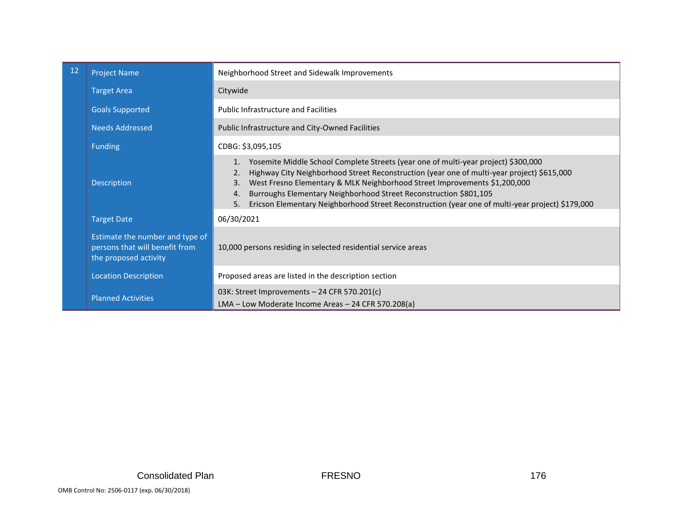| 12 | <b>Project Name</b>                                                                        | Neighborhood Street and Sidewalk Improvements                                                                                                                                                                                                                                                                                                                                                                                                                                    |  |
|----|--------------------------------------------------------------------------------------------|----------------------------------------------------------------------------------------------------------------------------------------------------------------------------------------------------------------------------------------------------------------------------------------------------------------------------------------------------------------------------------------------------------------------------------------------------------------------------------|--|
|    | <b>Target Area</b>                                                                         | Citywide                                                                                                                                                                                                                                                                                                                                                                                                                                                                         |  |
|    | <b>Goals Supported</b>                                                                     | <b>Public Infrastructure and Facilities</b>                                                                                                                                                                                                                                                                                                                                                                                                                                      |  |
|    | <b>Needs Addressed</b>                                                                     | Public Infrastructure and City-Owned Facilities                                                                                                                                                                                                                                                                                                                                                                                                                                  |  |
|    | <b>Funding</b>                                                                             | CDBG: \$3,095,105                                                                                                                                                                                                                                                                                                                                                                                                                                                                |  |
|    | Description                                                                                | Yosemite Middle School Complete Streets (year one of multi-year project) \$300,000<br>1.<br>Highway City Neighborhood Street Reconstruction (year one of multi-year project) \$615,000<br>2.<br>West Fresno Elementary & MLK Neighborhood Street Improvements \$1,200,000<br>3.<br>Burroughs Elementary Neighborhood Street Reconstruction \$801,105<br>4.<br>Ericson Elementary Neighborhood Street Reconstruction (year one of multi-year project) \$179,000<br>5 <sub>1</sub> |  |
|    | <b>Target Date</b>                                                                         | 06/30/2021                                                                                                                                                                                                                                                                                                                                                                                                                                                                       |  |
|    | Estimate the number and type of<br>persons that will benefit from<br>the proposed activity | 10,000 persons residing in selected residential service areas                                                                                                                                                                                                                                                                                                                                                                                                                    |  |
|    | <b>Location Description</b>                                                                | Proposed areas are listed in the description section                                                                                                                                                                                                                                                                                                                                                                                                                             |  |
|    | <b>Planned Activities</b>                                                                  | 03K: Street Improvements - 24 CFR 570.201(c)<br>LMA - Low Moderate Income Areas - 24 CFR 570.208(a)                                                                                                                                                                                                                                                                                                                                                                              |  |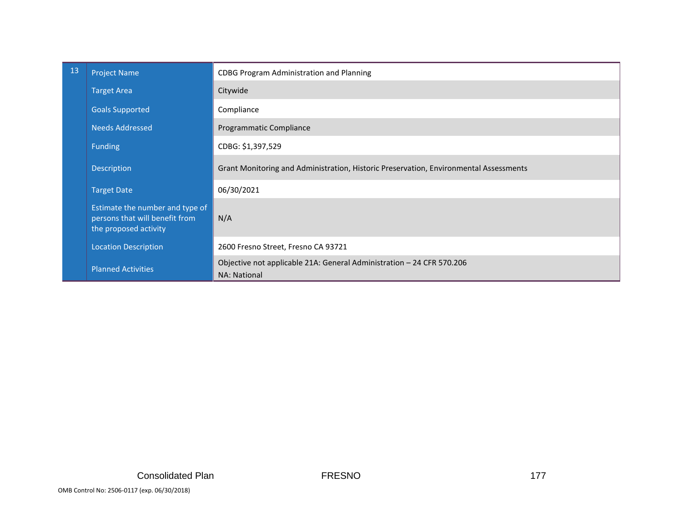| 13                                                                                                                        | <b>Project Name</b>         | <b>CDBG Program Administration and Planning</b>                                       |  |
|---------------------------------------------------------------------------------------------------------------------------|-----------------------------|---------------------------------------------------------------------------------------|--|
|                                                                                                                           | <b>Target Area</b>          | Citywide                                                                              |  |
|                                                                                                                           | <b>Goals Supported</b>      | Compliance                                                                            |  |
|                                                                                                                           | <b>Needs Addressed</b>      | Programmatic Compliance                                                               |  |
|                                                                                                                           | <b>Funding</b>              | CDBG: \$1,397,529                                                                     |  |
|                                                                                                                           | Description                 | Grant Monitoring and Administration, Historic Preservation, Environmental Assessments |  |
|                                                                                                                           | <b>Target Date</b>          | 06/30/2021                                                                            |  |
| Estimate the number and type of<br>persons that will benefit from<br>N/A<br>the proposed activity                         |                             |                                                                                       |  |
|                                                                                                                           | <b>Location Description</b> | 2600 Fresno Street, Fresno CA 93721                                                   |  |
| Objective not applicable 21A: General Administration - 24 CFR 570.206<br><b>Planned Activities</b><br><b>NA: National</b> |                             |                                                                                       |  |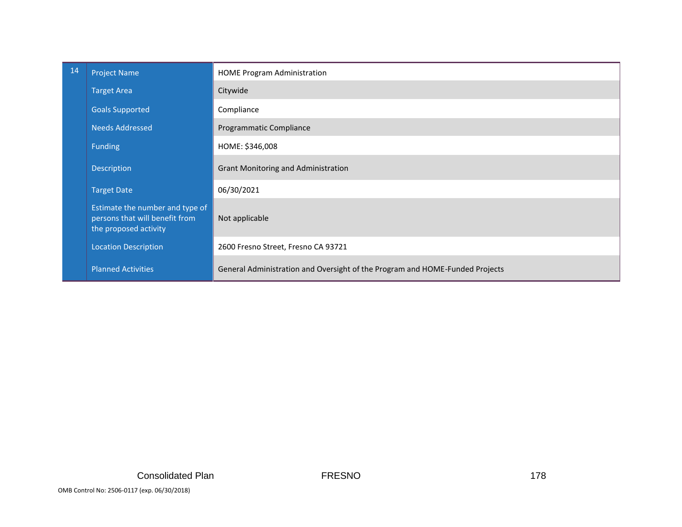| 14                                                                                                        | <b>Project Name</b>                                                                                          | <b>HOME Program Administration</b>         |  |
|-----------------------------------------------------------------------------------------------------------|--------------------------------------------------------------------------------------------------------------|--------------------------------------------|--|
|                                                                                                           | <b>Target Area</b>                                                                                           | Citywide                                   |  |
|                                                                                                           | <b>Goals Supported</b>                                                                                       | Compliance                                 |  |
|                                                                                                           | <b>Needs Addressed</b>                                                                                       | Programmatic Compliance                    |  |
|                                                                                                           | <b>Funding</b>                                                                                               | HOME: \$346,008                            |  |
|                                                                                                           | Description                                                                                                  | <b>Grant Monitoring and Administration</b> |  |
|                                                                                                           | <b>Target Date</b>                                                                                           | 06/30/2021                                 |  |
|                                                                                                           | Estimate the number and type of<br>persons that will benefit from<br>Not applicable<br>the proposed activity |                                            |  |
|                                                                                                           | <b>Location Description</b><br>2600 Fresno Street, Fresno CA 93721                                           |                                            |  |
| <b>Planned Activities</b><br>General Administration and Oversight of the Program and HOME-Funded Projects |                                                                                                              |                                            |  |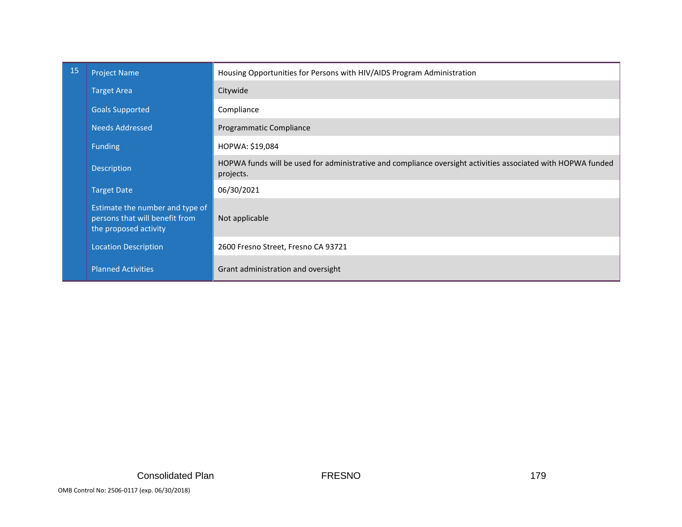| <b>15</b>                                                       | <b>Project Name</b>                                                                                          | Housing Opportunities for Persons with HIV/AIDS Program Administration                                       |  |
|-----------------------------------------------------------------|--------------------------------------------------------------------------------------------------------------|--------------------------------------------------------------------------------------------------------------|--|
|                                                                 | <b>Target Area</b>                                                                                           | Citywide                                                                                                     |  |
|                                                                 | <b>Goals Supported</b>                                                                                       | Compliance                                                                                                   |  |
|                                                                 | Needs Addressed                                                                                              | Programmatic Compliance                                                                                      |  |
|                                                                 | <b>Funding</b>                                                                                               | HOPWA: \$19,084                                                                                              |  |
| Description<br>projects.                                        |                                                                                                              | HOPWA funds will be used for administrative and compliance oversight activities associated with HOPWA funded |  |
|                                                                 | <b>Target Date</b>                                                                                           | 06/30/2021                                                                                                   |  |
|                                                                 | Estimate the number and type of<br>persons that will benefit from<br>Not applicable<br>the proposed activity |                                                                                                              |  |
|                                                                 | <b>Location Description</b>                                                                                  | 2600 Fresno Street, Fresno CA 93721                                                                          |  |
| <b>Planned Activities</b><br>Grant administration and oversight |                                                                                                              |                                                                                                              |  |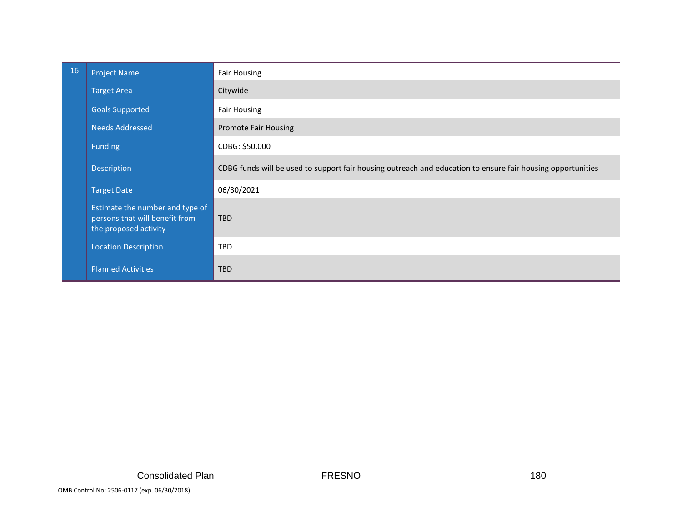| 16 | <b>Project Name</b>                                                                                      | <b>Fair Housing</b>                                                                                         |
|----|----------------------------------------------------------------------------------------------------------|-------------------------------------------------------------------------------------------------------------|
|    | <b>Target Area</b>                                                                                       | Citywide                                                                                                    |
|    | <b>Goals Supported</b>                                                                                   | <b>Fair Housing</b>                                                                                         |
|    | <b>Needs Addressed</b>                                                                                   | <b>Promote Fair Housing</b>                                                                                 |
|    | <b>Funding</b>                                                                                           | CDBG: \$50,000                                                                                              |
|    | Description                                                                                              | CDBG funds will be used to support fair housing outreach and education to ensure fair housing opportunities |
|    | <b>Target Date</b>                                                                                       | 06/30/2021                                                                                                  |
|    | Estimate the number and type of<br>persons that will benefit from<br><b>TBD</b><br>the proposed activity |                                                                                                             |
|    | <b>Location Description</b>                                                                              | <b>TBD</b>                                                                                                  |
|    | <b>Planned Activities</b>                                                                                | <b>TBD</b>                                                                                                  |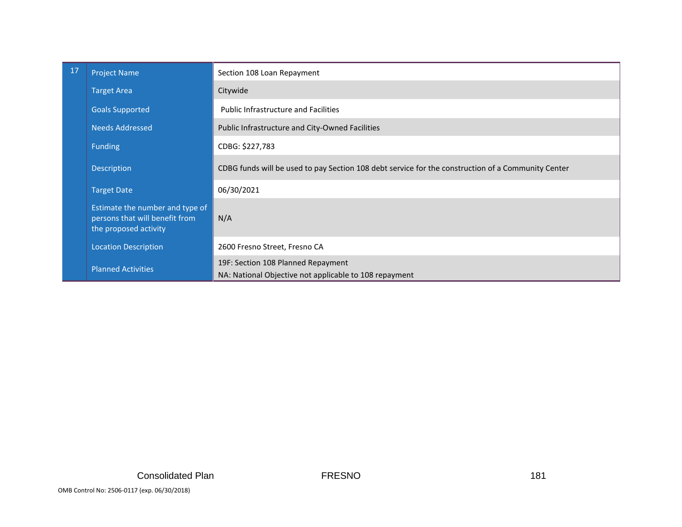| 17                                                                                                | <b>Project Name</b>         | Section 108 Loan Repayment                                                                         |  |
|---------------------------------------------------------------------------------------------------|-----------------------------|----------------------------------------------------------------------------------------------------|--|
|                                                                                                   | <b>Target Area</b>          | Citywide                                                                                           |  |
|                                                                                                   | <b>Goals Supported</b>      | <b>Public Infrastructure and Facilities</b>                                                        |  |
|                                                                                                   | <b>Needs Addressed</b>      | Public Infrastructure and City-Owned Facilities                                                    |  |
|                                                                                                   | <b>Funding</b>              | CDBG: \$227,783                                                                                    |  |
|                                                                                                   | Description                 | CDBG funds will be used to pay Section 108 debt service for the construction of a Community Center |  |
|                                                                                                   | <b>Target Date</b>          | 06/30/2021                                                                                         |  |
| Estimate the number and type of<br>persons that will benefit from<br>N/A<br>the proposed activity |                             |                                                                                                    |  |
|                                                                                                   | <b>Location Description</b> | 2600 Fresno Street, Fresno CA                                                                      |  |
|                                                                                                   | <b>Planned Activities</b>   | 19F: Section 108 Planned Repayment<br>NA: National Objective not applicable to 108 repayment       |  |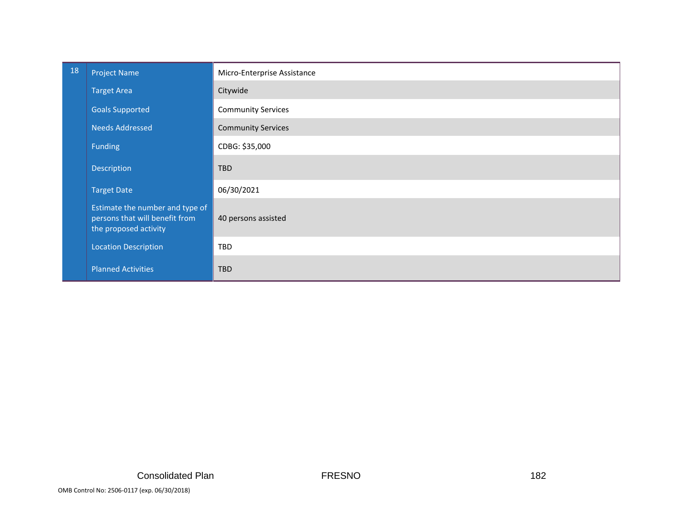| 18 | <b>Project Name</b>                                                                        | Micro-Enterprise Assistance |
|----|--------------------------------------------------------------------------------------------|-----------------------------|
|    | <b>Target Area</b>                                                                         | Citywide                    |
|    | <b>Goals Supported</b>                                                                     | <b>Community Services</b>   |
|    | <b>Needs Addressed</b>                                                                     | <b>Community Services</b>   |
|    | <b>Funding</b>                                                                             | CDBG: \$35,000              |
|    | Description                                                                                | <b>TBD</b>                  |
|    | <b>Target Date</b>                                                                         | 06/30/2021                  |
|    | Estimate the number and type of<br>persons that will benefit from<br>the proposed activity | 40 persons assisted         |
|    | <b>Location Description</b>                                                                | TBD                         |
|    | <b>Planned Activities</b>                                                                  | <b>TBD</b>                  |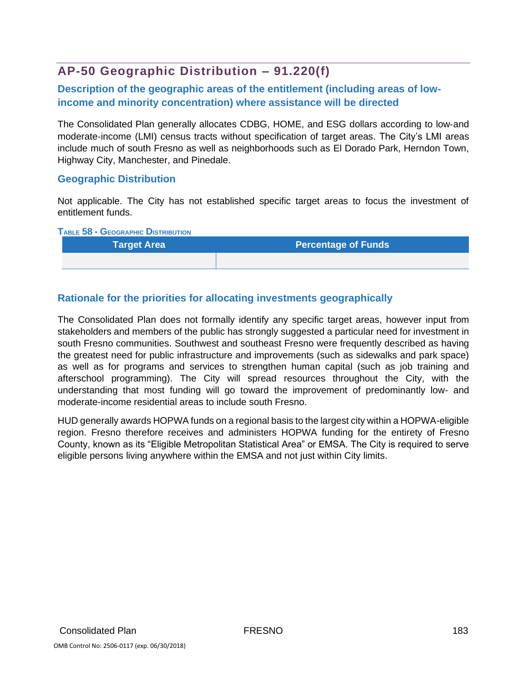# **AP-50 Geographic Distribution – 91.220(f)**

### **Description of the geographic areas of the entitlement (including areas of lowincome and minority concentration) where assistance will be directed**

The Consolidated Plan generally allocates CDBG, HOME, and ESG dollars according to low‐and moderate‐income (LMI) census tracts without specification of target areas. The City's LMI areas include much of south Fresno as well as neighborhoods such as El Dorado Park, Herndon Town, Highway City, Manchester, and Pinedale.

#### **Geographic Distribution**

Not applicable. The City has not established specific target areas to focus the investment of entitlement funds.

**TABLE 58 - GEOGRAPHIC DISTRIBUTION**

| <b>Target Area</b> | <b>Percentage of Funds</b> |
|--------------------|----------------------------|
|                    |                            |

### **Rationale for the priorities for allocating investments geographically**

The Consolidated Plan does not formally identify any specific target areas, however input from stakeholders and members of the public has strongly suggested a particular need for investment in south Fresno communities. Southwest and southeast Fresno were frequently described as having the greatest need for public infrastructure and improvements (such as sidewalks and park space) as well as for programs and services to strengthen human capital (such as job training and afterschool programming). The City will spread resources throughout the City, with the understanding that most funding will go toward the improvement of predominantly low- and moderate-income residential areas to include south Fresno.

HUD generally awards HOPWA funds on a regional basis to the largest city within a HOPWA-eligible region. Fresno therefore receives and administers HOPWA funding for the entirety of Fresno County, known as its "Eligible Metropolitan Statistical Area" or EMSA. The City is required to serve eligible persons living anywhere within the EMSA and not just within City limits.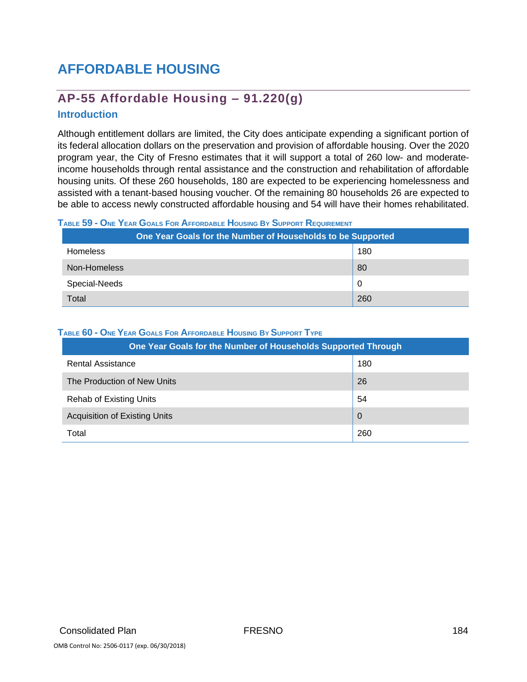# **AFFORDABLE HOUSING**

# **AP-55 Affordable Housing – 91.220(g)**

### **Introduction**

Although entitlement dollars are limited, the City does anticipate expending a significant portion of its federal allocation dollars on the preservation and provision of affordable housing. Over the 2020 program year, the City of Fresno estimates that it will support a total of 260 low- and moderateincome households through rental assistance and the construction and rehabilitation of affordable housing units. Of these 260 households, 180 are expected to be experiencing homelessness and assisted with a tenant-based housing voucher. Of the remaining 80 households 26 are expected to be able to access newly constructed affordable housing and 54 will have their homes rehabilitated.

#### TABLE 59 - ONE YEAR GOALS FOR AFFORDABLE HOUSING BY SUPPORT REQUIREMENT

| One Year Goals for the Number of Households to be Supported |     |  |
|-------------------------------------------------------------|-----|--|
| <b>Homeless</b>                                             | 180 |  |
| Non-Homeless                                                | 80  |  |
| Special-Needs                                               | 0   |  |
| Total                                                       | 260 |  |

#### **TABLE 60 - ONE YEAR GOALS FOR AFFORDABLE HOUSING BY SUPPORT TYPE**

| One Year Goals for the Number of Households Supported Through |                |  |
|---------------------------------------------------------------|----------------|--|
| <b>Rental Assistance</b>                                      | 180            |  |
| The Production of New Units                                   | 26             |  |
| <b>Rehab of Existing Units</b>                                | 54             |  |
| <b>Acquisition of Existing Units</b>                          | $\overline{0}$ |  |
| Total                                                         | 260            |  |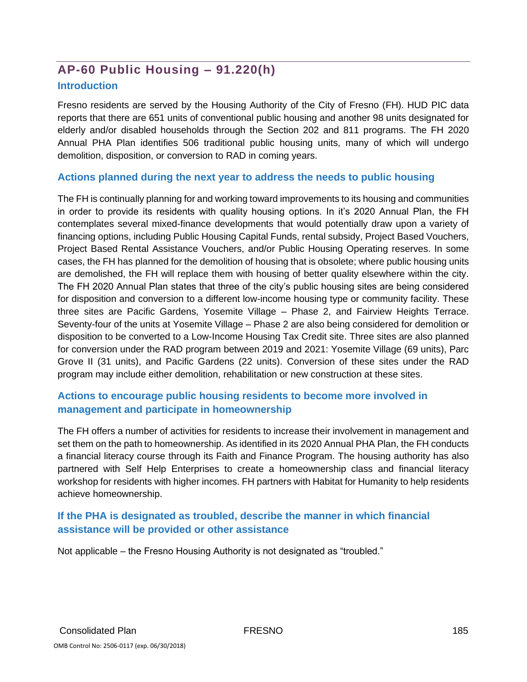# **AP-60 Public Housing – 91.220(h)**

#### **Introduction**

Fresno residents are served by the Housing Authority of the City of Fresno (FH). HUD PIC data reports that there are 651 units of conventional public housing and another 98 units designated for elderly and/or disabled households through the Section 202 and 811 programs. The FH 2020 Annual PHA Plan identifies 506 traditional public housing units, many of which will undergo demolition, disposition, or conversion to RAD in coming years.

#### **Actions planned during the next year to address the needs to public housing**

The FH is continually planning for and working toward improvements to its housing and communities in order to provide its residents with quality housing options. In it's 2020 Annual Plan, the FH contemplates several mixed-finance developments that would potentially draw upon a variety of financing options, including Public Housing Capital Funds, rental subsidy, Project Based Vouchers, Project Based Rental Assistance Vouchers, and/or Public Housing Operating reserves. In some cases, the FH has planned for the demolition of housing that is obsolete; where public housing units are demolished, the FH will replace them with housing of better quality elsewhere within the city. The FH 2020 Annual Plan states that three of the city's public housing sites are being considered for disposition and conversion to a different low-income housing type or community facility. These three sites are Pacific Gardens, Yosemite Village – Phase 2, and Fairview Heights Terrace. Seventy-four of the units at Yosemite Village – Phase 2 are also being considered for demolition or disposition to be converted to a Low-Income Housing Tax Credit site. Three sites are also planned for conversion under the RAD program between 2019 and 2021: Yosemite Village (69 units), Parc Grove II (31 units), and Pacific Gardens (22 units). Conversion of these sites under the RAD program may include either demolition, rehabilitation or new construction at these sites.

# **Actions to encourage public housing residents to become more involved in management and participate in homeownership**

The FH offers a number of activities for residents to increase their involvement in management and set them on the path to homeownership. As identified in its 2020 Annual PHA Plan, the FH conducts a financial literacy course through its Faith and Finance Program. The housing authority has also partnered with Self Help Enterprises to create a homeownership class and financial literacy workshop for residents with higher incomes. FH partners with Habitat for Humanity to help residents achieve homeownership.

### **If the PHA is designated as troubled, describe the manner in which financial assistance will be provided or other assistance**

Not applicable – the Fresno Housing Authority is not designated as "troubled."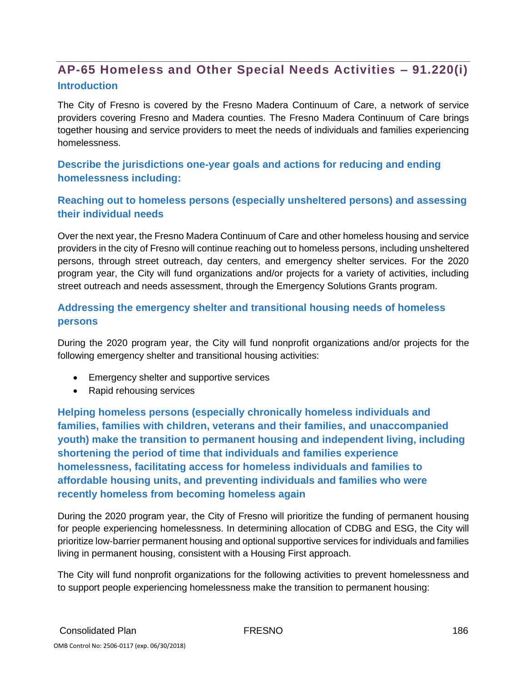# **AP-65 Homeless and Other Special Needs Activities – 91.220(i) Introduction**

The City of Fresno is covered by the Fresno Madera Continuum of Care, a network of service providers covering Fresno and Madera counties. The Fresno Madera Continuum of Care brings together housing and service providers to meet the needs of individuals and families experiencing homelessness.

**Describe the jurisdictions one-year goals and actions for reducing and ending homelessness including:**

### **Reaching out to homeless persons (especially unsheltered persons) and assessing their individual needs**

Over the next year, the Fresno Madera Continuum of Care and other homeless housing and service providers in the city of Fresno will continue reaching out to homeless persons, including unsheltered persons, through street outreach, day centers, and emergency shelter services. For the 2020 program year, the City will fund organizations and/or projects for a variety of activities, including street outreach and needs assessment, through the Emergency Solutions Grants program.

# **Addressing the emergency shelter and transitional housing needs of homeless persons**

During the 2020 program year, the City will fund nonprofit organizations and/or projects for the following emergency shelter and transitional housing activities:

- Emergency shelter and supportive services
- Rapid rehousing services

**Helping homeless persons (especially chronically homeless individuals and families, families with children, veterans and their families, and unaccompanied youth) make the transition to permanent housing and independent living, including shortening the period of time that individuals and families experience homelessness, facilitating access for homeless individuals and families to affordable housing units, and preventing individuals and families who were recently homeless from becoming homeless again**

During the 2020 program year, the City of Fresno will prioritize the funding of permanent housing for people experiencing homelessness. In determining allocation of CDBG and ESG, the City will prioritize low-barrier permanent housing and optional supportive services for individuals and families living in permanent housing, consistent with a Housing First approach.

The City will fund nonprofit organizations for the following activities to prevent homelessness and to support people experiencing homelessness make the transition to permanent housing: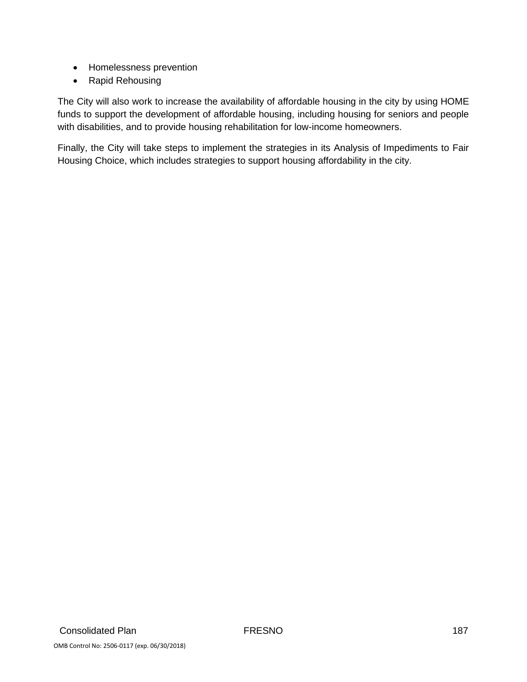- Homelessness prevention
- Rapid Rehousing

The City will also work to increase the availability of affordable housing in the city by using HOME funds to support the development of affordable housing, including housing for seniors and people with disabilities, and to provide housing rehabilitation for low-income homeowners.

Finally, the City will take steps to implement the strategies in its Analysis of Impediments to Fair Housing Choice, which includes strategies to support housing affordability in the city.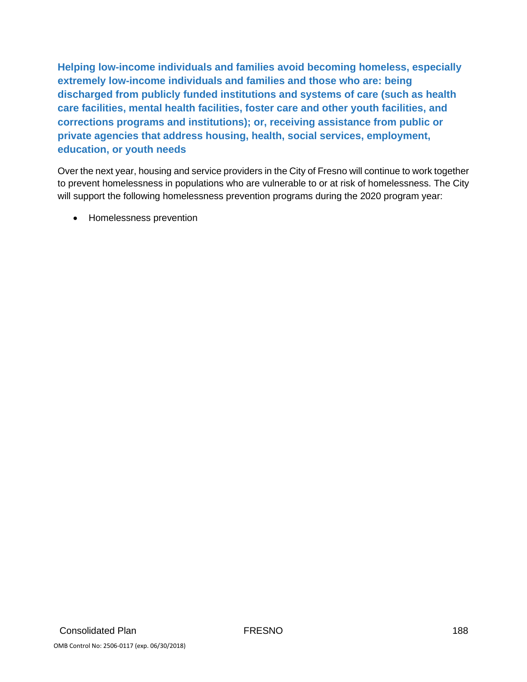**Helping low-income individuals and families avoid becoming homeless, especially extremely low-income individuals and families and those who are: being discharged from publicly funded institutions and systems of care (such as health care facilities, mental health facilities, foster care and other youth facilities, and corrections programs and institutions); or, receiving assistance from public or private agencies that address housing, health, social services, employment, education, or youth needs**

Over the next year, housing and service providers in the City of Fresno will continue to work together to prevent homelessness in populations who are vulnerable to or at risk of homelessness. The City will support the following homelessness prevention programs during the 2020 program year:

• Homelessness prevention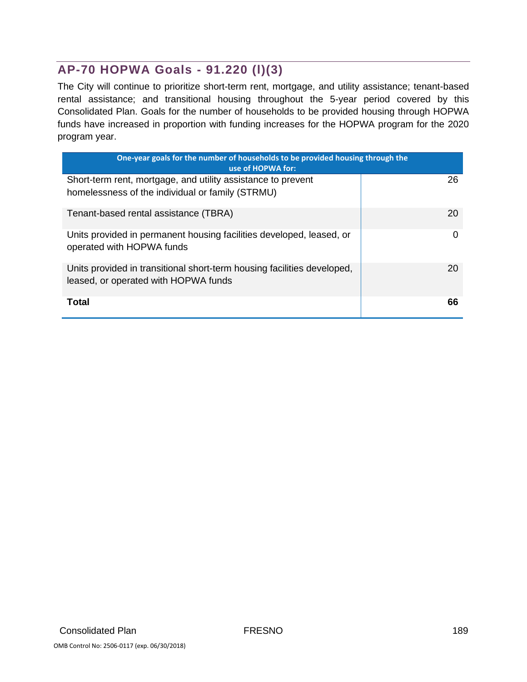# **AP-70 HOPWA Goals - 91.220 (l)(3)**

The City will continue to prioritize short-term rent, mortgage, and utility assistance; tenant-based rental assistance; and transitional housing throughout the 5-year period covered by this Consolidated Plan. Goals for the number of households to be provided housing through HOPWA funds have increased in proportion with funding increases for the HOPWA program for the 2020 program year.

| One-year goals for the number of households to be provided housing through the<br>use of HOPWA for:             |    |  |
|-----------------------------------------------------------------------------------------------------------------|----|--|
| Short-term rent, mortgage, and utility assistance to prevent                                                    | 26 |  |
| homelessness of the individual or family (STRMU)                                                                |    |  |
| Tenant-based rental assistance (TBRA)                                                                           | 20 |  |
| Units provided in permanent housing facilities developed, leased, or<br>operated with HOPWA funds               | 0  |  |
| Units provided in transitional short-term housing facilities developed,<br>leased, or operated with HOPWA funds | 20 |  |
| Total                                                                                                           | 66 |  |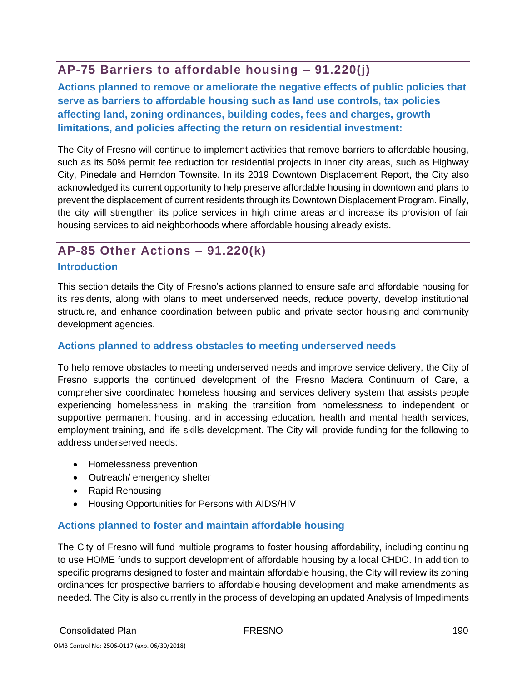# **AP-75 Barriers to affordable housing – 91.220(j)**

**Actions planned to remove or ameliorate the negative effects of public policies that serve as barriers to affordable housing such as land use controls, tax policies affecting land, zoning ordinances, building codes, fees and charges, growth limitations, and policies affecting the return on residential investment:**

The City of Fresno will continue to implement activities that remove barriers to affordable housing, such as its 50% permit fee reduction for residential projects in inner city areas, such as Highway City, Pinedale and Herndon Townsite. In its 2019 Downtown Displacement Report, the City also acknowledged its current opportunity to help preserve affordable housing in downtown and plans to prevent the displacement of current residents through its Downtown Displacement Program. Finally, the city will strengthen its police services in high crime areas and increase its provision of fair housing services to aid neighborhoods where affordable housing already exists.

# **AP-85 Other Actions – 91.220(k) Introduction**

This section details the City of Fresno's actions planned to ensure safe and affordable housing for its residents, along with plans to meet underserved needs, reduce poverty, develop institutional structure, and enhance coordination between public and private sector housing and community development agencies.

### **Actions planned to address obstacles to meeting underserved needs**

To help remove obstacles to meeting underserved needs and improve service delivery, the City of Fresno supports the continued development of the Fresno Madera Continuum of Care, a comprehensive coordinated homeless housing and services delivery system that assists people experiencing homelessness in making the transition from homelessness to independent or supportive permanent housing, and in accessing education, health and mental health services, employment training, and life skills development. The City will provide funding for the following to address underserved needs:

- Homelessness prevention
- Outreach/ emergency shelter
- Rapid Rehousing
- Housing Opportunities for Persons with AIDS/HIV

# **Actions planned to foster and maintain affordable housing**

The City of Fresno will fund multiple programs to foster housing affordability, including continuing to use HOME funds to support development of affordable housing by a local CHDO. In addition to specific programs designed to foster and maintain affordable housing, the City will review its zoning ordinances for prospective barriers to affordable housing development and make amendments as needed. The City is also currently in the process of developing an updated Analysis of Impediments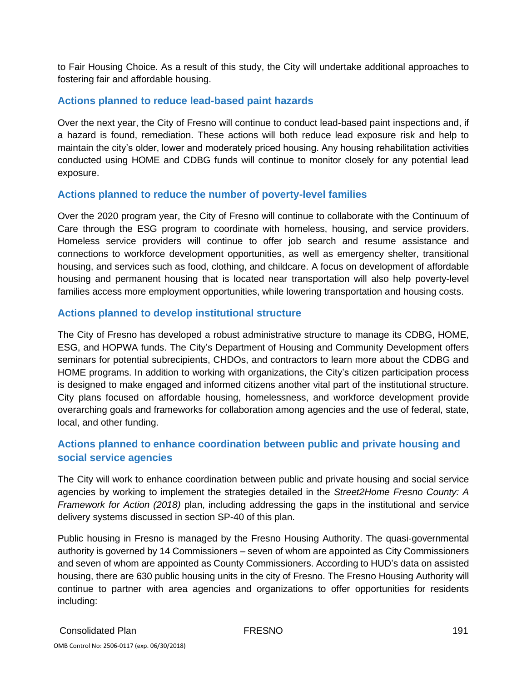to Fair Housing Choice. As a result of this study, the City will undertake additional approaches to fostering fair and affordable housing.

### **Actions planned to reduce lead-based paint hazards**

Over the next year, the City of Fresno will continue to conduct lead-based paint inspections and, if a hazard is found, remediation. These actions will both reduce lead exposure risk and help to maintain the city's older, lower and moderately priced housing. Any housing rehabilitation activities conducted using HOME and CDBG funds will continue to monitor closely for any potential lead exposure.

### **Actions planned to reduce the number of poverty-level families**

Over the 2020 program year, the City of Fresno will continue to collaborate with the Continuum of Care through the ESG program to coordinate with homeless, housing, and service providers. Homeless service providers will continue to offer job search and resume assistance and connections to workforce development opportunities, as well as emergency shelter, transitional housing, and services such as food, clothing, and childcare. A focus on development of affordable housing and permanent housing that is located near transportation will also help poverty-level families access more employment opportunities, while lowering transportation and housing costs.

### **Actions planned to develop institutional structure**

The City of Fresno has developed a robust administrative structure to manage its CDBG, HOME, ESG, and HOPWA funds. The City's Department of Housing and Community Development offers seminars for potential subrecipients, CHDOs, and contractors to learn more about the CDBG and HOME programs. In addition to working with organizations, the City's citizen participation process is designed to make engaged and informed citizens another vital part of the institutional structure. City plans focused on affordable housing, homelessness, and workforce development provide overarching goals and frameworks for collaboration among agencies and the use of federal, state, local, and other funding.

# **Actions planned to enhance coordination between public and private housing and social service agencies**

The City will work to enhance coordination between public and private housing and social service agencies by working to implement the strategies detailed in the *Street2Home Fresno County: A Framework for Action (2018)* plan, including addressing the gaps in the institutional and service delivery systems discussed in section SP-40 of this plan.

Public housing in Fresno is managed by the Fresno Housing Authority. The quasi‐governmental authority is governed by 14 Commissioners – seven of whom are appointed as City Commissioners and seven of whom are appointed as County Commissioners. According to HUD's data on assisted housing, there are 630 public housing units in the city of Fresno. The Fresno Housing Authority will continue to partner with area agencies and organizations to offer opportunities for residents including: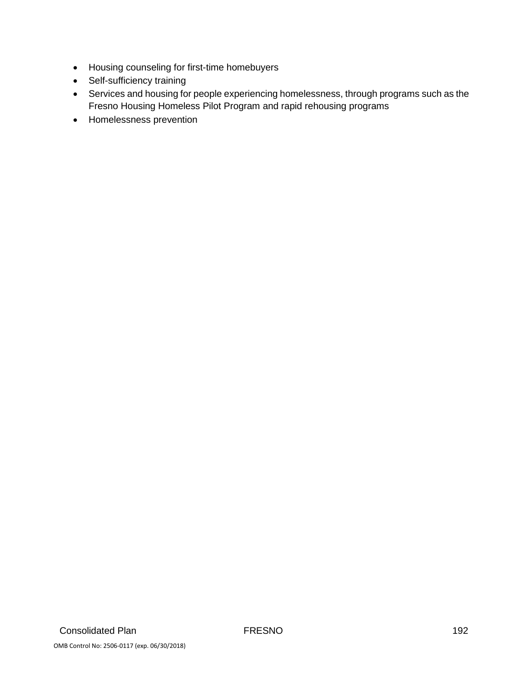- Housing counseling for first-time homebuyers
- Self-sufficiency training
- Services and housing for people experiencing homelessness, through programs such as the Fresno Housing Homeless Pilot Program and rapid rehousing programs
- Homelessness prevention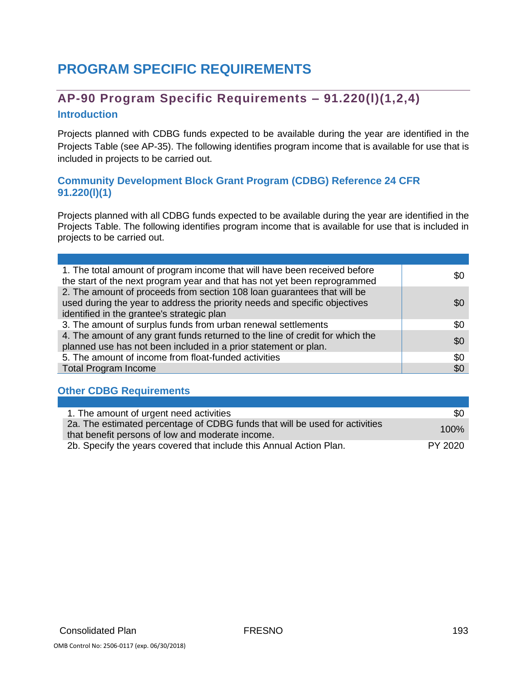# **PROGRAM SPECIFIC REQUIREMENTS**

# **AP-90 Program Specific Requirements – 91.220(l)(1,2,4) Introduction**

Projects planned with CDBG funds expected to be available during the year are identified in the Projects Table (see AP-35). The following identifies program income that is available for use that is included in projects to be carried out.

### **Community Development Block Grant Program (CDBG) Reference 24 CFR 91.220(l)(1)**

Projects planned with all CDBG funds expected to be available during the year are identified in the Projects Table. The following identifies program income that is available for use that is included in projects to be carried out.

| 1. The total amount of program income that will have been received before<br>the start of the next program year and that has not yet been reprogrammed                                              | \$0 |
|-----------------------------------------------------------------------------------------------------------------------------------------------------------------------------------------------------|-----|
| 2. The amount of proceeds from section 108 loan guarantees that will be<br>used during the year to address the priority needs and specific objectives<br>identified in the grantee's strategic plan | \$0 |
| 3. The amount of surplus funds from urban renewal settlements                                                                                                                                       | \$0 |
| 4. The amount of any grant funds returned to the line of credit for which the<br>planned use has not been included in a prior statement or plan.                                                    | \$0 |
| 5. The amount of income from float-funded activities                                                                                                                                                | \$0 |
| <b>Total Program Income</b>                                                                                                                                                                         | \$0 |

#### **Other CDBG Requirements**

| 1. The amount of urgent need activities                                                                                         | \$0     |
|---------------------------------------------------------------------------------------------------------------------------------|---------|
| 2a. The estimated percentage of CDBG funds that will be used for activities<br>that benefit persons of low and moderate income. | 100%    |
| 2b. Specify the years covered that include this Annual Action Plan.                                                             | PY 2020 |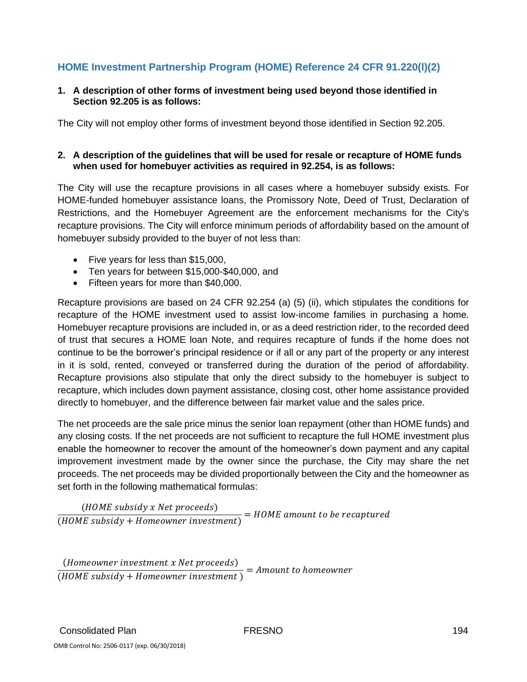# **HOME Investment Partnership Program (HOME) Reference 24 CFR 91.220(l)(2)**

#### **1. A description of other forms of investment being used beyond those identified in Section 92.205 is as follows:**

The City will not employ other forms of investment beyond those identified in Section 92.205.

#### **2. A description of the guidelines that will be used for resale or recapture of HOME funds when used for homebuyer activities as required in 92.254, is as follows:**

The City will use the recapture provisions in all cases where a homebuyer subsidy exists. For HOME-funded homebuyer assistance loans, the Promissory Note, Deed of Trust, Declaration of Restrictions, and the Homebuyer Agreement are the enforcement mechanisms for the City's recapture provisions. The City will enforce minimum periods of affordability based on the amount of homebuyer subsidy provided to the buyer of not less than:

- Five years for less than \$15,000,
- Ten years for between \$15,000-\$40,000, and
- Fifteen years for more than \$40,000.

Recapture provisions are based on 24 CFR 92.254 (a) (5) (ii), which stipulates the conditions for recapture of the HOME investment used to assist low-income families in purchasing a home. Homebuyer recapture provisions are included in, or as a deed restriction rider, to the recorded deed of trust that secures a HOME loan Note, and requires recapture of funds if the home does not continue to be the borrower's principal residence or if all or any part of the property or any interest in it is sold, rented, conveyed or transferred during the duration of the period of affordability. Recapture provisions also stipulate that only the direct subsidy to the homebuyer is subject to recapture, which includes down payment assistance, closing cost, other home assistance provided directly to homebuyer, and the difference between fair market value and the sales price.

The net proceeds are the sale price minus the senior loan repayment (other than HOME funds) and any closing costs. If the net proceeds are not sufficient to recapture the full HOME investment plus enable the homeowner to recover the amount of the homeowner's down payment and any capital improvement investment made by the owner since the purchase, the City may share the net proceeds. The net proceeds may be divided proportionally between the City and the homeowner as set forth in the following mathematical formulas:

 $(HOME$  subsidy x Net proceeds)  $\overline{(HOME \; subsidy + Homeown$  investment) = HOME amount to be recaptured

(Homeowner investment x Net proceeds)  $\overline{(HOME \, subsidy + Homeowner \, investment)}$  $=$  Amount to homeowner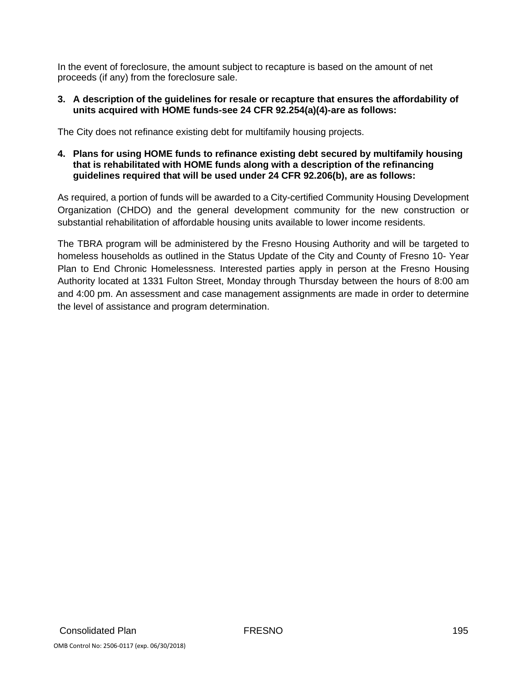In the event of foreclosure, the amount subject to recapture is based on the amount of net proceeds (if any) from the foreclosure sale.

#### **3. A description of the guidelines for resale or recapture that ensures the affordability of units acquired with HOME funds-see 24 CFR 92.254(a)(4)-are as follows:**

The City does not refinance existing debt for multifamily housing projects.

#### **4. Plans for using HOME funds to refinance existing debt secured by multifamily housing that is rehabilitated with HOME funds along with a description of the refinancing guidelines required that will be used under 24 CFR 92.206(b), are as follows:**

As required, a portion of funds will be awarded to a City-certified Community Housing Development Organization (CHDO) and the general development community for the new construction or substantial rehabilitation of affordable housing units available to lower income residents.

The TBRA program will be administered by the Fresno Housing Authority and will be targeted to homeless households as outlined in the Status Update of the City and County of Fresno 10- Year Plan to End Chronic Homelessness. Interested parties apply in person at the Fresno Housing Authority located at 1331 Fulton Street, Monday through Thursday between the hours of 8:00 am and 4:00 pm. An assessment and case management assignments are made in order to determine the level of assistance and program determination.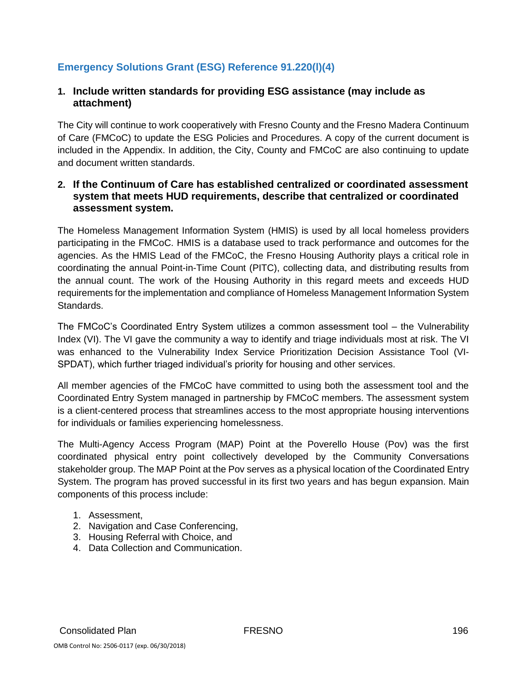# **Emergency Solutions Grant (ESG) Reference 91.220(l)(4)**

#### **1. Include written standards for providing ESG assistance (may include as attachment)**

The City will continue to work cooperatively with Fresno County and the Fresno Madera Continuum of Care (FMCoC) to update the ESG Policies and Procedures. A copy of the current document is included in the Appendix. In addition, the City, County and FMCoC are also continuing to update and document written standards.

#### **2. If the Continuum of Care has established centralized or coordinated assessment system that meets HUD requirements, describe that centralized or coordinated assessment system.**

The Homeless Management Information System (HMIS) is used by all local homeless providers participating in the FMCoC. HMIS is a database used to track performance and outcomes for the agencies. As the HMIS Lead of the FMCoC, the Fresno Housing Authority plays a critical role in coordinating the annual Point-in-Time Count (PITC), collecting data, and distributing results from the annual count. The work of the Housing Authority in this regard meets and exceeds HUD requirements for the implementation and compliance of Homeless Management Information System Standards.

The FMCoC's Coordinated Entry System utilizes a common assessment tool – the Vulnerability Index (VI). The VI gave the community a way to identify and triage individuals most at risk. The VI was enhanced to the Vulnerability Index Service Prioritization Decision Assistance Tool (VI-SPDAT), which further triaged individual's priority for housing and other services.

All member agencies of the FMCoC have committed to using both the assessment tool and the Coordinated Entry System managed in partnership by FMCoC members. The assessment system is a client-centered process that streamlines access to the most appropriate housing interventions for individuals or families experiencing homelessness.

The Multi-Agency Access Program (MAP) Point at the Poverello House (Pov) was the first coordinated physical entry point collectively developed by the Community Conversations stakeholder group. The MAP Point at the Pov serves as a physical location of the Coordinated Entry System. The program has proved successful in its first two years and has begun expansion. Main components of this process include:

- 1. Assessment,
- 2. Navigation and Case Conferencing,
- 3. Housing Referral with Choice, and
- 4. Data Collection and Communication.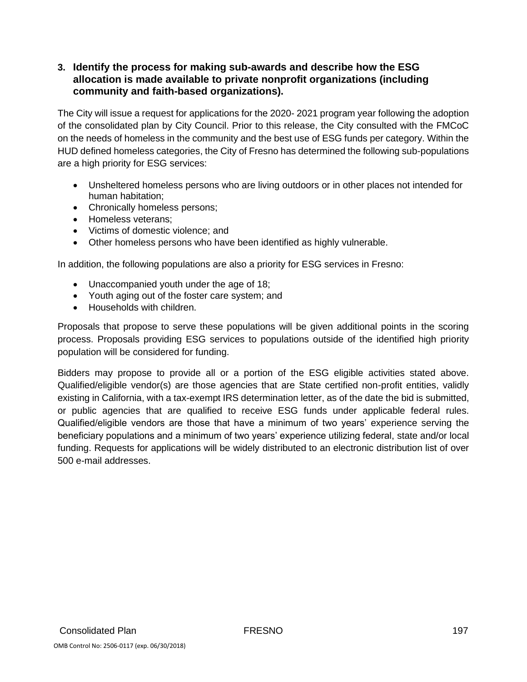### **3. Identify the process for making sub-awards and describe how the ESG allocation is made available to private nonprofit organizations (including community and faith-based organizations).**

The City will issue a request for applications for the 2020- 2021 program year following the adoption of the consolidated plan by City Council. Prior to this release, the City consulted with the FMCoC on the needs of homeless in the community and the best use of ESG funds per category. Within the HUD defined homeless categories, the City of Fresno has determined the following sub-populations are a high priority for ESG services:

- Unsheltered homeless persons who are living outdoors or in other places not intended for human habitation;
- Chronically homeless persons;
- Homeless veterans;
- Victims of domestic violence; and
- Other homeless persons who have been identified as highly vulnerable.

In addition, the following populations are also a priority for ESG services in Fresno:

- Unaccompanied youth under the age of 18;
- Youth aging out of the foster care system; and
- Households with children.

Proposals that propose to serve these populations will be given additional points in the scoring process. Proposals providing ESG services to populations outside of the identified high priority population will be considered for funding.

Bidders may propose to provide all or a portion of the ESG eligible activities stated above. Qualified/eligible vendor(s) are those agencies that are State certified non-profit entities, validly existing in California, with a tax-exempt IRS determination letter, as of the date the bid is submitted, or public agencies that are qualified to receive ESG funds under applicable federal rules. Qualified/eligible vendors are those that have a minimum of two years' experience serving the beneficiary populations and a minimum of two years' experience utilizing federal, state and/or local funding. Requests for applications will be widely distributed to an electronic distribution list of over 500 e-mail addresses.